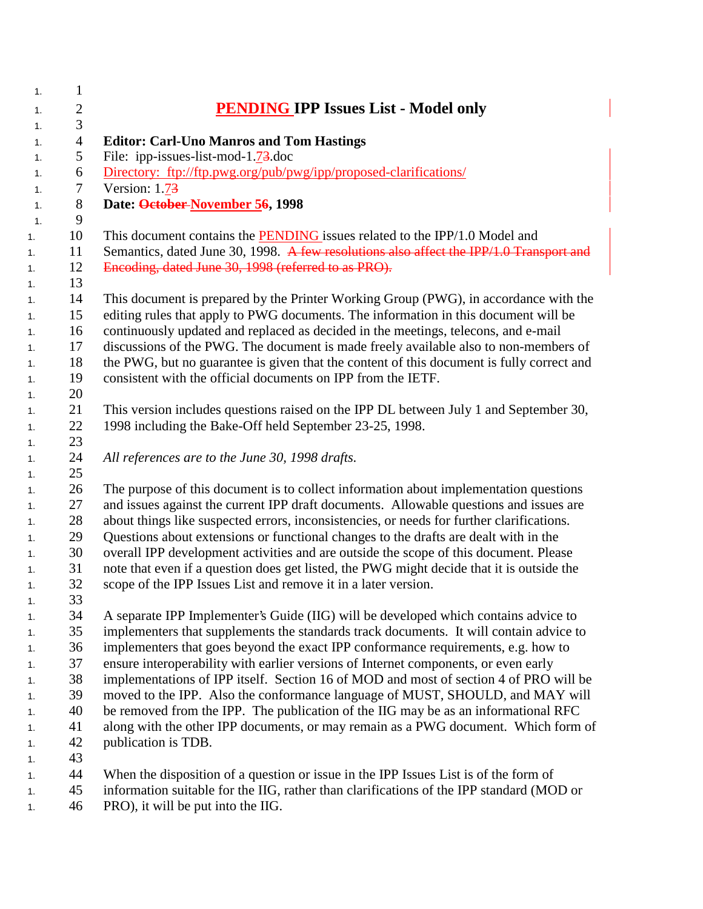| 1.             | $\mathbf{1}$   |                                                                                           |
|----------------|----------------|-------------------------------------------------------------------------------------------|
| 1.             | $\overline{2}$ | <b>PENDING IPP Issues List - Model only</b>                                               |
| 1.             | 3              |                                                                                           |
| 1.             | $\overline{4}$ | <b>Editor: Carl-Uno Manros and Tom Hastings</b>                                           |
| 1.             | 5              | File: ipp-issues-list-mod-1. $\frac{73}{3}$ .doc                                          |
| 1.             | 6              | Directory: ftp://ftp.pwg.org/pub/pwg/ipp/proposed-clarifications/                         |
| 1.             | 7              | Version: $1.73$                                                                           |
| 1 <sub>1</sub> | 8              | Date: October-November 56, 1998                                                           |
| 1.             | 9              |                                                                                           |
| 1.             | 10             | This document contains the <b>PENDING</b> issues related to the IPP/1.0 Model and         |
| 1.             | 11             | Semantics, dated June 30, 1998. A few resolutions also affect the IPP/1.0 Transport and   |
| 1.             | 12             | Encoding, dated June 30, 1998 (referred to as PRO).                                       |
| 1.             | 13             |                                                                                           |
| 1.             | 14             | This document is prepared by the Printer Working Group (PWG), in accordance with the      |
| 1.             | 15             | editing rules that apply to PWG documents. The information in this document will be       |
| 1.             | 16             | continuously updated and replaced as decided in the meetings, telecons, and e-mail        |
| 1.             | 17             | discussions of the PWG. The document is made freely available also to non-members of      |
| 1.             | 18             | the PWG, but no guarantee is given that the content of this document is fully correct and |
| 1.             | 19             | consistent with the official documents on IPP from the IETF.                              |
| 1.             | 20             |                                                                                           |
| 1.             | 21             | This version includes questions raised on the IPP DL between July 1 and September 30,     |
| 1.             | 22             | 1998 including the Bake-Off held September 23-25, 1998.                                   |
| 1.             | 23             |                                                                                           |
| 1.             | 24             | All references are to the June 30, 1998 drafts.                                           |
| 1.             | 25             |                                                                                           |
| 1.             | 26             | The purpose of this document is to collect information about implementation questions     |
| 1.             | 27             | and issues against the current IPP draft documents. Allowable questions and issues are    |
| 1.             | 28             | about things like suspected errors, inconsistencies, or needs for further clarifications. |
| 1.             | 29             | Questions about extensions or functional changes to the drafts are dealt with in the      |
| 1.             | 30             | overall IPP development activities and are outside the scope of this document. Please     |
| 1.             | 31             | note that even if a question does get listed, the PWG might decide that it is outside the |
| 1.             | 32             | scope of the IPP Issues List and remove it in a later version.                            |
| 1.             | 33             |                                                                                           |
| 1.             | 34             | A separate IPP Implementer's Guide (IIG) will be developed which contains advice to       |
| 1.             | 35             | implementers that supplements the standards track documents. It will contain advice to    |
| 1.             | 36             | implementers that goes beyond the exact IPP conformance requirements, e.g. how to         |
| 1.             | 37             | ensure interoperability with earlier versions of Internet components, or even early       |
| 1.             | 38             | implementations of IPP itself. Section 16 of MOD and most of section 4 of PRO will be     |
| 1.             | 39             | moved to the IPP. Also the conformance language of MUST, SHOULD, and MAY will             |
| 1.             | 40             | be removed from the IPP. The publication of the IIG may be as an informational RFC        |
| 1.             | 41             | along with the other IPP documents, or may remain as a PWG document. Which form of        |
| 1.             | 42             | publication is TDB.                                                                       |
| 1.             | 43             |                                                                                           |
| 1.             | 44             | When the disposition of a question or issue in the IPP Issues List is of the form of      |
| 1.             | 45             | information suitable for the IIG, rather than clarifications of the IPP standard (MOD or  |
| 1.             | 46             | PRO), it will be put into the IIG.                                                        |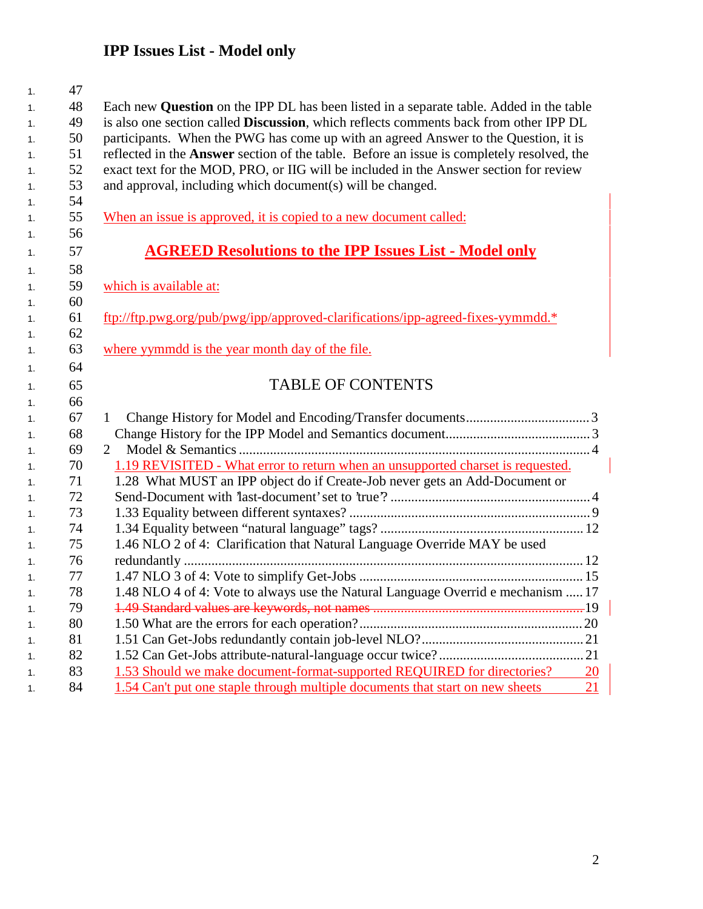| $\mathbf{1}$ . | 47 |                                                                                           |
|----------------|----|-------------------------------------------------------------------------------------------|
| $\mathbf{1}$ . | 48 | Each new Question on the IPP DL has been listed in a separate table. Added in the table   |
| 1.             | 49 | is also one section called Discussion, which reflects comments back from other IPP DL     |
| 1.             | 50 | participants. When the PWG has come up with an agreed Answer to the Question, it is       |
| 1.             | 51 | reflected in the Answer section of the table. Before an issue is completely resolved, the |
| 1.             | 52 | exact text for the MOD, PRO, or IIG will be included in the Answer section for review     |
| 1.             | 53 | and approval, including which document(s) will be changed.                                |
| 1.             | 54 |                                                                                           |
| 1.             | 55 | When an issue is approved, it is copied to a new document called:                         |
| 1.             | 56 |                                                                                           |
| $\mathbf{1}$ . | 57 | <b>AGREED Resolutions to the IPP Issues List - Model only</b>                             |
| $\mathbf{1}$ . | 58 |                                                                                           |
| 1.             | 59 | which is available at:                                                                    |
| 1.             | 60 |                                                                                           |
| $\mathbf{1}$ . | 61 | ftp://ftp.pwg.org/pub/pwg/ipp/approved-clarifications/ipp-agreed-fixes-yymmdd.*           |
| 1.             | 62 |                                                                                           |
| 1.             | 63 | where yymmdd is the year month day of the file.                                           |
| 1.             | 64 |                                                                                           |
| 1.             | 65 | <b>TABLE OF CONTENTS</b>                                                                  |
| 1.             | 66 |                                                                                           |
| 1.             | 67 | $\mathbf{1}$                                                                              |
| 1.             | 68 |                                                                                           |
| 1.             | 69 | $\overline{2}$                                                                            |
| 1.             | 70 | 1.19 REVISITED - What error to return when an unsupported charset is requested.           |
| 1.             | 71 | 1.28 What MUST an IPP object do if Create-Job never gets an Add-Document or               |
| $\mathbf{1}$ . | 72 |                                                                                           |
| $\mathbf{1}$ . | 73 |                                                                                           |
| 1.             | 74 |                                                                                           |
| 1.             | 75 | 1.46 NLO 2 of 4: Clarification that Natural Language Override MAY be used                 |
| 1.             | 76 |                                                                                           |
| 1.             | 77 |                                                                                           |
| $\mathbf{1}$ . | 78 | 1.48 NLO 4 of 4: Vote to always use the Natural Language Overrid e mechanism  17          |
| 1.             | 79 |                                                                                           |
| 1.             | 80 |                                                                                           |
| 1.             | 81 |                                                                                           |
| 1.             | 82 |                                                                                           |
| 1.             | 83 | 1.53 Should we make document-format-supported REQUIRED for directories?<br>20             |
| 1.             | 84 | 21<br>1.54 Can't put one staple through multiple documents that start on new sheets       |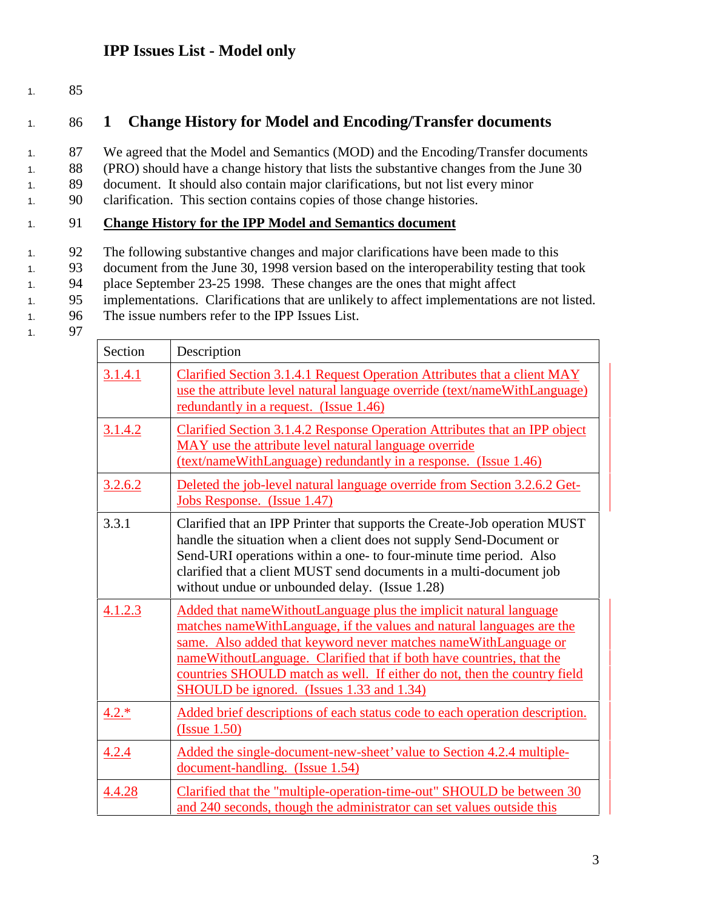1. 85

#### 1. 86 **1 Change History for Model and Encoding/Transfer documents**

1. 87 We agreed that the Model and Semantics (MOD) and the Encoding/Transfer documents

- 1. 88 (PRO) should have a change history that lists the substantive changes from the June 30
- 1. 89 document. It should also contain major clarifications, but not list every minor
- 1. 90 clarification. This section contains copies of those change histories.

#### 1. 91 **Change History for the IPP Model and Semantics document**

- 1. 92 The following substantive changes and major clarifications have been made to this
- 1. 93 document from the June 30, 1998 version based on the interoperability testing that took
- 1. 94 place September 23-25 1998. These changes are the ones that might affect
- 1. 95 implementations. Clarifications that are unlikely to affect implementations are not listed.
- 1. 96 The issue numbers refer to the IPP Issues List.
- 1. 97

| Section | Description                                                                                                                                                                                                                                                                                                                                                                                                      |
|---------|------------------------------------------------------------------------------------------------------------------------------------------------------------------------------------------------------------------------------------------------------------------------------------------------------------------------------------------------------------------------------------------------------------------|
| 3.1.4.1 | Clarified Section 3.1.4.1 Request Operation Attributes that a client MAY<br>use the attribute level natural language override (text/nameWithLanguage)<br>redundantly in a request. (Issue 1.46)                                                                                                                                                                                                                  |
| 3.1.4.2 | Clarified Section 3.1.4.2 Response Operation Attributes that an IPP object<br>MAY use the attribute level natural language override<br>(text/nameWithLanguage) redundantly in a response. (Issue 1.46)                                                                                                                                                                                                           |
| 3.2.6.2 | Deleted the job-level natural language override from Section 3.2.6.2 Get-<br>Jobs Response. (Issue 1.47)                                                                                                                                                                                                                                                                                                         |
| 3.3.1   | Clarified that an IPP Printer that supports the Create-Job operation MUST<br>handle the situation when a client does not supply Send-Document or<br>Send-URI operations within a one- to four-minute time period. Also<br>clarified that a client MUST send documents in a multi-document job<br>without undue or unbounded delay. (Issue 1.28)                                                                  |
| 4.1.2.3 | Added that nameWithoutLanguage plus the implicit natural language<br>matches nameWithLanguage, if the values and natural languages are the<br>same. Also added that keyword never matches name With Language or<br>nameWithoutLanguage. Clarified that if both have countries, that the<br>countries SHOULD match as well. If either do not, then the country field<br>SHOULD be ignored. (Issues 1.33 and 1.34) |
| $4.2.*$ | Added brief descriptions of each status code to each operation description.<br>(Issue 1.50)                                                                                                                                                                                                                                                                                                                      |
| 4.2.4   | Added the single-document-new-sheet' value to Section 4.2.4 multiple-<br>document-handling. (Issue 1.54)                                                                                                                                                                                                                                                                                                         |
| 4.4.28  | Clarified that the "multiple-operation-time-out" SHOULD be between 30<br>and 240 seconds, though the administrator can set values outside this                                                                                                                                                                                                                                                                   |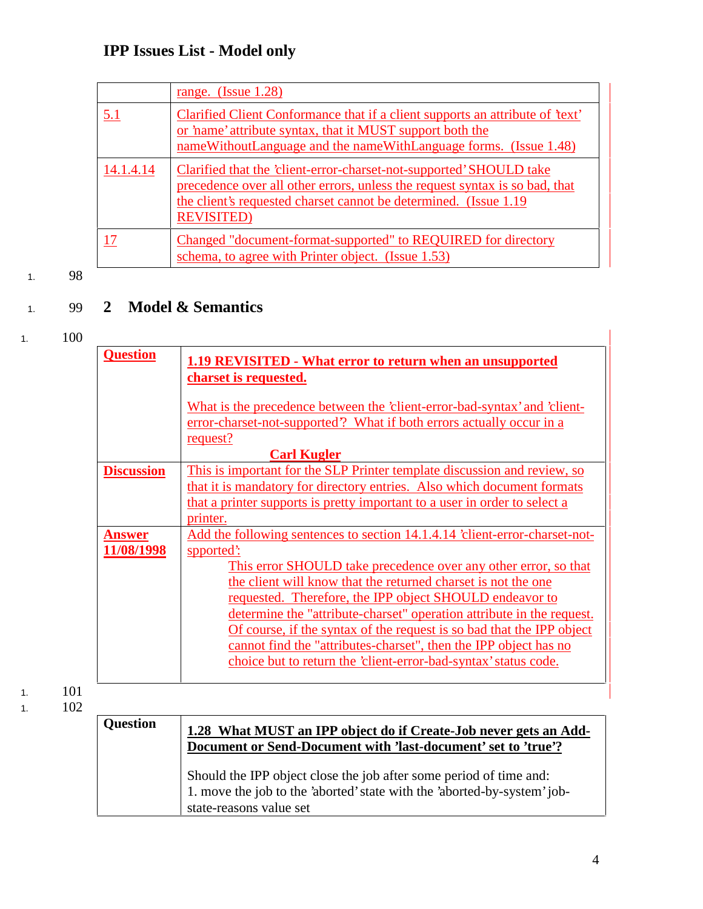|           | range. (Issue $1.28$ )                                                                                                                                                                                                                        |
|-----------|-----------------------------------------------------------------------------------------------------------------------------------------------------------------------------------------------------------------------------------------------|
| 5.1       | Clarified Client Conformance that if a client supports an attribute of 'text'<br>or 'name' attribute syntax, that it MUST support both the<br>nameWithoutLanguage and the nameWithLanguage forms. (Issue 1.48)                                |
| 14.1.4.14 | Clarified that the 'client-error-charset-not-supported' SHOULD take<br>precedence over all other errors, unless the request syntax is so bad, that<br>the client's requested charset cannot be determined. (Issue 1.19)<br><b>REVISITED</b> ) |
| 17        | Changed "document-format-supported" to REQUIRED for directory<br>schema, to agree with Printer object. (Issue 1.53)                                                                                                                           |

#### 1. 98

### 1. 99 **2 Model & Semantics**

### 1. 100

| <b>Question</b>             | 1.19 REVISITED - What error to return when an unsupported<br>charset is requested.<br>What is the precedence between the 'client-error-bad-syntax' and 'client-<br>error-charset-not-supported? What if both errors actually occur in a<br><u>request?</u>                                                                                                                                                                                                                                                                                                                       |
|-----------------------------|----------------------------------------------------------------------------------------------------------------------------------------------------------------------------------------------------------------------------------------------------------------------------------------------------------------------------------------------------------------------------------------------------------------------------------------------------------------------------------------------------------------------------------------------------------------------------------|
|                             | <b>Carl Kugler</b>                                                                                                                                                                                                                                                                                                                                                                                                                                                                                                                                                               |
| <b>Discussion</b>           | This is important for the SLP Printer template discussion and review, so<br>that it is mandatory for directory entries. Also which document formats<br>that a printer supports is pretty important to a user in order to select a<br>printer.                                                                                                                                                                                                                                                                                                                                    |
| <b>Answer</b><br>11/08/1998 | Add the following sentences to section 14.1.4.14 'client-error-charset-not-<br>spported:<br>This error SHOULD take precedence over any other error, so that<br>the client will know that the returned charset is not the one<br>requested. Therefore, the IPP object SHOULD endeavor to<br>determine the "attribute-charset" operation attribute in the request.<br>Of course, if the syntax of the request is so bad that the IPP object<br>cannot find the "attributes-charset", then the IPP object has no<br>choice but to return the 'client-error-bad-syntax' status code. |

| 102 |
|-----|
|     |
|     |
|     |

| <b>Question</b> | 1.28 What MUST an IPP object do if Create-Job never gets an Add-<br>Document or Send-Document with 'last-document' set to 'true'?                                         |
|-----------------|---------------------------------------------------------------------------------------------------------------------------------------------------------------------------|
|                 | Should the IPP object close the job after some period of time and:<br>1. move the job to the 'aborted' state with the 'aborted-by-system' job-<br>state-reasons value set |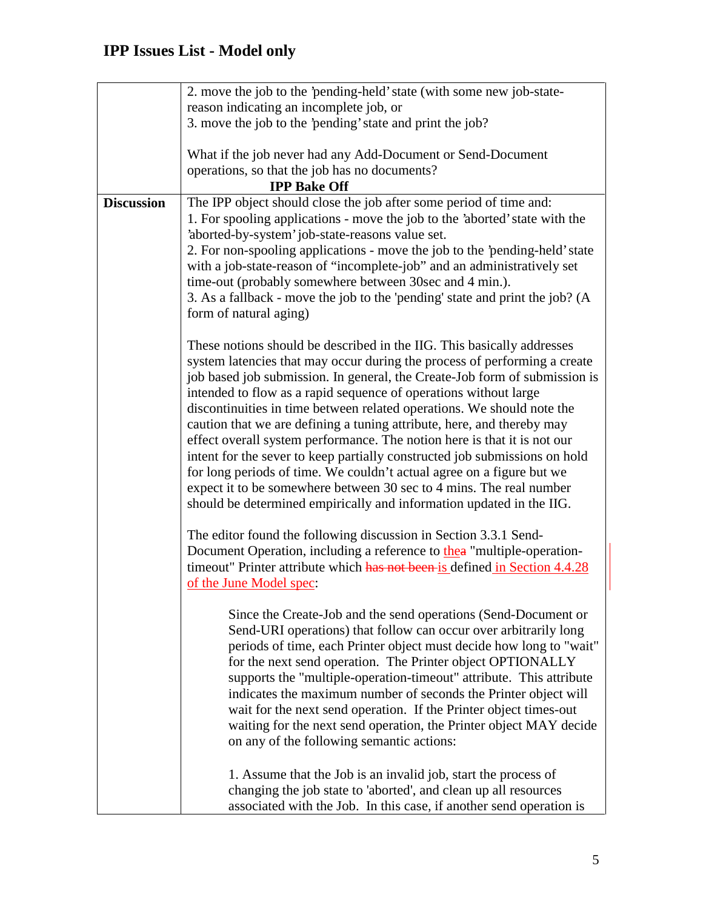|                   | 2. move the job to the 'pending-held' state (with some new job-state-                                                                                                                                                                                                                                                                                                                                                                                                                                                                                                                                                                                                                                                                                                                                                                       |
|-------------------|---------------------------------------------------------------------------------------------------------------------------------------------------------------------------------------------------------------------------------------------------------------------------------------------------------------------------------------------------------------------------------------------------------------------------------------------------------------------------------------------------------------------------------------------------------------------------------------------------------------------------------------------------------------------------------------------------------------------------------------------------------------------------------------------------------------------------------------------|
|                   | reason indicating an incomplete job, or<br>3. move the job to the 'pending' state and print the job?                                                                                                                                                                                                                                                                                                                                                                                                                                                                                                                                                                                                                                                                                                                                        |
|                   | What if the job never had any Add-Document or Send-Document                                                                                                                                                                                                                                                                                                                                                                                                                                                                                                                                                                                                                                                                                                                                                                                 |
|                   | operations, so that the job has no documents?<br><b>IPP Bake Off</b>                                                                                                                                                                                                                                                                                                                                                                                                                                                                                                                                                                                                                                                                                                                                                                        |
| <b>Discussion</b> | The IPP object should close the job after some period of time and:<br>1. For spooling applications - move the job to the 'aborted' state with the<br>'aborted-by-system' job-state-reasons value set.<br>2. For non-spooling applications - move the job to the 'pending-held' state<br>with a job-state-reason of "incomplete-job" and an administratively set<br>time-out (probably somewhere between 30sec and 4 min.).<br>3. As a fallback - move the job to the 'pending' state and print the job? (A<br>form of natural aging)                                                                                                                                                                                                                                                                                                        |
|                   | These notions should be described in the IIG. This basically addresses<br>system latencies that may occur during the process of performing a create<br>job based job submission. In general, the Create-Job form of submission is<br>intended to flow as a rapid sequence of operations without large<br>discontinuities in time between related operations. We should note the<br>caution that we are defining a tuning attribute, here, and thereby may<br>effect overall system performance. The notion here is that it is not our<br>intent for the sever to keep partially constructed job submissions on hold<br>for long periods of time. We couldn't actual agree on a figure but we<br>expect it to be somewhere between 30 sec to 4 mins. The real number<br>should be determined empirically and information updated in the IIG. |
|                   | The editor found the following discussion in Section 3.3.1 Send-<br>Document Operation, including a reference to thea "multiple-operation-<br>time out" Printer attribute which has not been is defined in Section 4.4.28<br>of the June Model spec:                                                                                                                                                                                                                                                                                                                                                                                                                                                                                                                                                                                        |
|                   | Since the Create-Job and the send operations (Send-Document or<br>Send-URI operations) that follow can occur over arbitrarily long<br>periods of time, each Printer object must decide how long to "wait"<br>for the next send operation. The Printer object OPTIONALLY<br>supports the "multiple-operation-timeout" attribute. This attribute<br>indicates the maximum number of seconds the Printer object will<br>wait for the next send operation. If the Printer object times-out<br>waiting for the next send operation, the Printer object MAY decide<br>on any of the following semantic actions:                                                                                                                                                                                                                                   |
|                   | 1. Assume that the Job is an invalid job, start the process of<br>changing the job state to 'aborted', and clean up all resources<br>associated with the Job. In this case, if another send operation is                                                                                                                                                                                                                                                                                                                                                                                                                                                                                                                                                                                                                                    |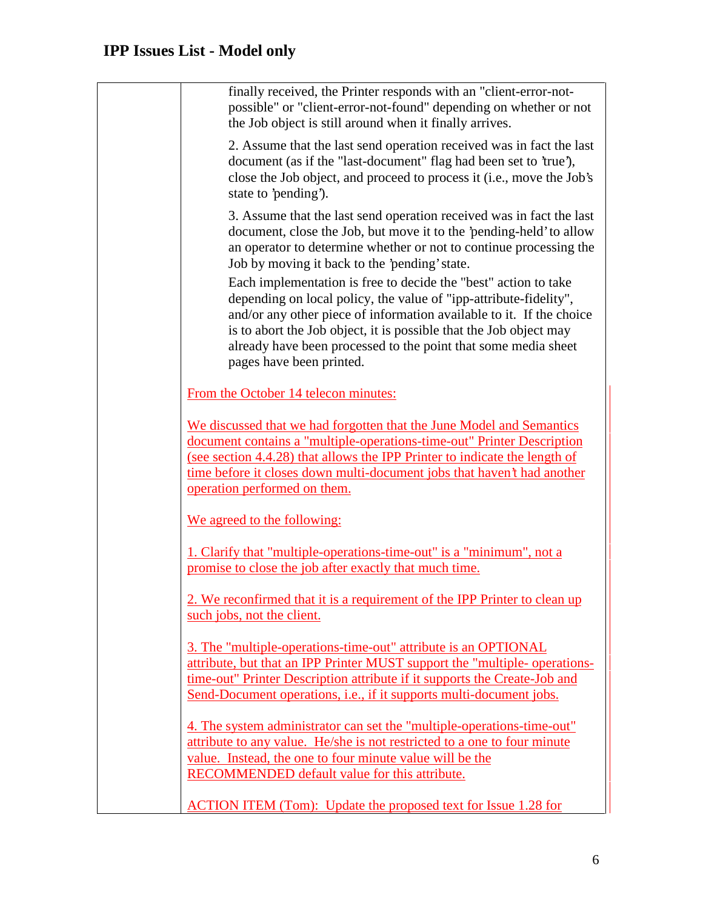| finally received, the Printer responds with an "client-error-not-<br>possible" or "client-error-not-found" depending on whether or not<br>the Job object is still around when it finally arrives.                                                                                                                                                                                |
|----------------------------------------------------------------------------------------------------------------------------------------------------------------------------------------------------------------------------------------------------------------------------------------------------------------------------------------------------------------------------------|
| 2. Assume that the last send operation received was in fact the last<br>document (as if the "last-document" flag had been set to 'true'),<br>close the Job object, and proceed to process it (i.e., move the Job's<br>state to 'pending').                                                                                                                                       |
| 3. Assume that the last send operation received was in fact the last<br>document, close the Job, but move it to the 'pending-held' to allow<br>an operator to determine whether or not to continue processing the<br>Job by moving it back to the 'pending' state.                                                                                                               |
| Each implementation is free to decide the "best" action to take<br>depending on local policy, the value of "ipp-attribute-fidelity",<br>and/or any other piece of information available to it. If the choice<br>is to abort the Job object, it is possible that the Job object may<br>already have been processed to the point that some media sheet<br>pages have been printed. |
| From the October 14 telecon minutes:                                                                                                                                                                                                                                                                                                                                             |
| We discussed that we had forgotten that the June Model and Semantics<br>document contains a "multiple-operations-time-out" Printer Description<br>(see section 4.4.28) that allows the IPP Printer to indicate the length of<br>time before it closes down multi-document jobs that haven't had another<br>operation performed on them.                                          |
| We agreed to the following:                                                                                                                                                                                                                                                                                                                                                      |
| 1. Clarify that "multiple-operations-time-out" is a "minimum", not a<br>promise to close the job after exactly that much time.                                                                                                                                                                                                                                                   |
| 2. We reconfirmed that it is a requirement of the IPP Printer to clean up<br>such jobs, not the client.                                                                                                                                                                                                                                                                          |
| 3. The "multiple-operations-time-out" attribute is an OPTIONAL<br>attribute, but that an IPP Printer MUST support the "multiple- operations-<br>time-out" Printer Description attribute if it supports the Create-Job and<br>Send-Document operations, <i>i.e.</i> , if it supports multi-document jobs.                                                                         |
| 4. The system administrator can set the "multiple-operations-time-out"<br>attribute to any value. He/she is not restricted to a one to four minute<br>value. Instead, the one to four minute value will be the<br>RECOMMENDED default value for this attribute.                                                                                                                  |
| <b>ACTION ITEM (Tom):</b> Update the proposed text for Issue 1.28 for                                                                                                                                                                                                                                                                                                            |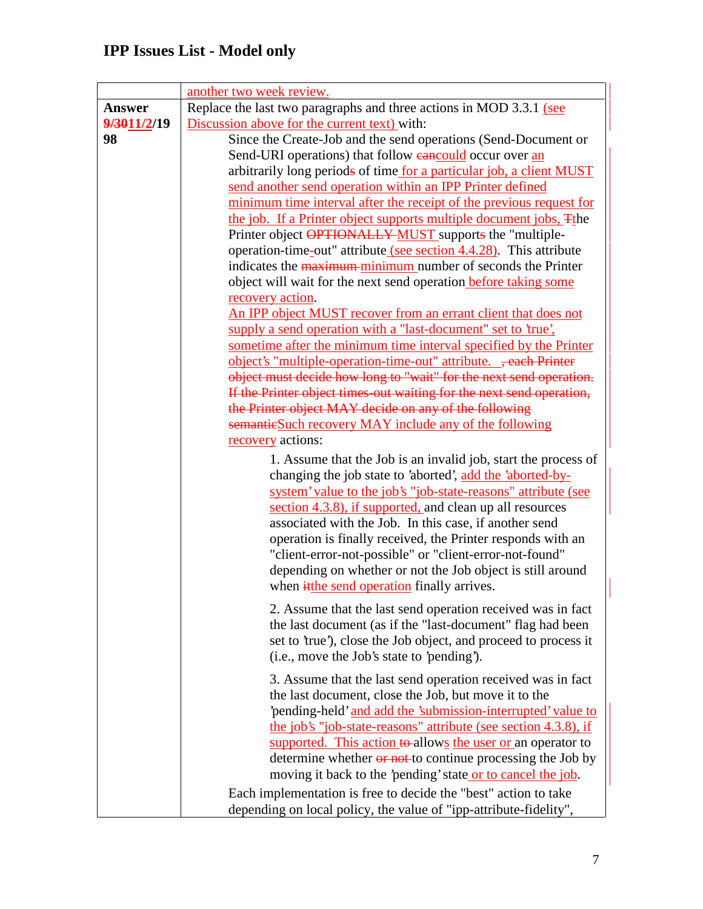|             | another two week review.                                                                                                           |
|-------------|------------------------------------------------------------------------------------------------------------------------------------|
| Answer      | Replace the last two paragraphs and three actions in MOD 3.3.1 (see                                                                |
| 9/3011/2/19 | Discussion above for the current text) with:                                                                                       |
| 98          | Since the Create-Job and the send operations (Send-Document or                                                                     |
|             | Send-URI operations) that follow eancould occur over an                                                                            |
|             | arbitrarily long periods of time for a particular job, a client MUST                                                               |
|             | send another send operation within an IPP Printer defined                                                                          |
|             | minimum time interval after the receipt of the previous request for                                                                |
|             | the job. If a Printer object supports multiple document jobs, $\pm$ the                                                            |
|             | Printer object <b>OPTIONALLY MUST</b> supports the "multiple-                                                                      |
|             | operation-time-out" attribute (see section 4.4.28). This attribute                                                                 |
|             | indicates the <b>maximum</b> minimum number of seconds the Printer                                                                 |
|             | object will wait for the next send operation before taking some                                                                    |
|             | recovery action.                                                                                                                   |
|             | An IPP object MUST recover from an errant client that does not                                                                     |
|             | supply a send operation with a "last-document" set to 'true'.<br>sometime after the minimum time interval specified by the Printer |
|             | object's "multiple-operation-time-out" attribute. , each Printer                                                                   |
|             | object must decide how long to "wait" for the next send operation.                                                                 |
|             | If the Printer object times-out waiting for the next send operation,                                                               |
|             | the Printer object MAY decide on any of the following                                                                              |
|             | semantieSuch recovery MAY include any of the following                                                                             |
|             | recovery actions:                                                                                                                  |
|             | 1. Assume that the Job is an invalid job, start the process of                                                                     |
|             | changing the job state to 'aborted', add the 'aborted-by-                                                                          |
|             | system' value to the job's "job-state-reasons" attribute (see                                                                      |
|             | section 4.3.8), if supported, and clean up all resources                                                                           |
|             | associated with the Job. In this case, if another send                                                                             |
|             | operation is finally received, the Printer responds with an                                                                        |
|             | "client-error-not-possible" or "client-error-not-found"                                                                            |
|             | depending on whether or not the Job object is still around                                                                         |
|             | when ithe send operation finally arrives.                                                                                          |
|             | 2. Assume that the last send operation received was in fact                                                                        |
|             | the last document (as if the "last-document" flag had been                                                                         |
|             | set to 'true'), close the Job object, and proceed to process it                                                                    |
|             | (i.e., move the Job's state to 'pending').                                                                                         |
|             | 3. Assume that the last send operation received was in fact                                                                        |
|             | the last document, close the Job, but move it to the                                                                               |
|             | 'pending-held' and add the 'submission-interrupted' value to                                                                       |
|             | <u>the job's "job-state-reasons" attribute (see section 4.3.8), if</u>                                                             |
|             | supported. This action to allows the user or an operator to                                                                        |
|             | determine whether or not to continue processing the Job by                                                                         |
|             | moving it back to the 'pending' state or to cancel the job.                                                                        |
|             | Each implementation is free to decide the "best" action to take                                                                    |
|             | depending on local policy, the value of "ipp-attribute-fidelity",                                                                  |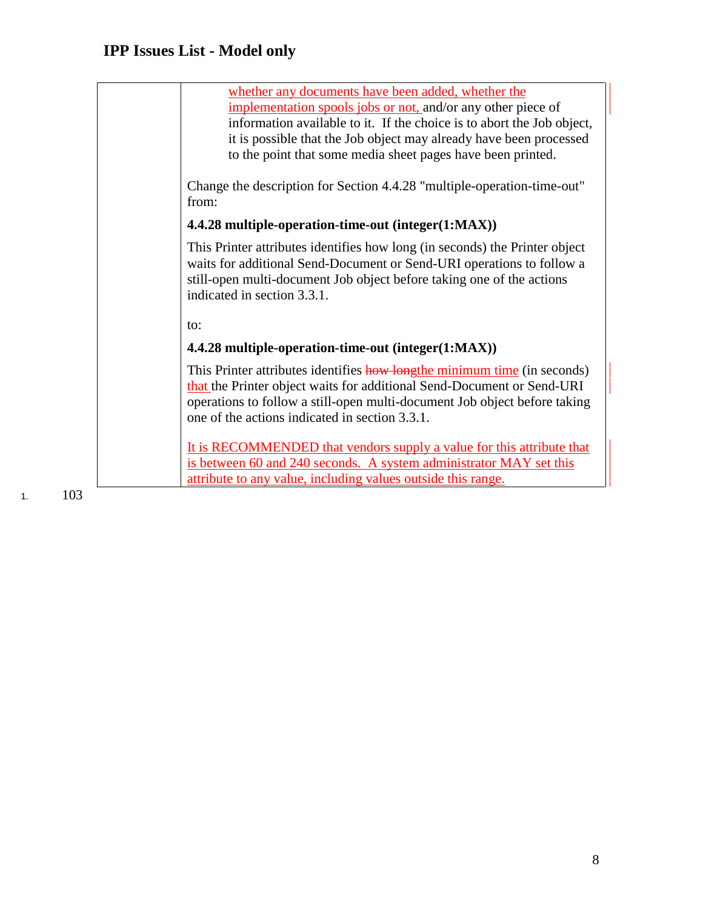| whether any documents have been added, whether the                                                                                                                                                                                                                                       |
|------------------------------------------------------------------------------------------------------------------------------------------------------------------------------------------------------------------------------------------------------------------------------------------|
| implementation spools jobs or not, and/or any other piece of                                                                                                                                                                                                                             |
| information available to it. If the choice is to abort the Job object,                                                                                                                                                                                                                   |
| it is possible that the Job object may already have been processed                                                                                                                                                                                                                       |
| to the point that some media sheet pages have been printed.                                                                                                                                                                                                                              |
| Change the description for Section 4.4.28 "multiple-operation-time-out"<br>from:                                                                                                                                                                                                         |
| 4.4.28 multiple-operation-time-out (integer(1:MAX))                                                                                                                                                                                                                                      |
| This Printer attributes identifies how long (in seconds) the Printer object<br>waits for additional Send-Document or Send-URI operations to follow a<br>still-open multi-document Job object before taking one of the actions<br>indicated in section 3.3.1.                             |
| to:                                                                                                                                                                                                                                                                                      |
| 4.4.28 multiple-operation-time-out (integer(1:MAX))                                                                                                                                                                                                                                      |
| This Printer attributes identifies <b>how longthe minimum time</b> (in seconds)<br>that the Printer object waits for additional Send-Document or Send-URI<br>operations to follow a still-open multi-document Job object before taking<br>one of the actions indicated in section 3.3.1. |
| It is RECOMMENDED that vendors supply a value for this attribute that<br>is between 60 and 240 seconds. A system administrator MAY set this<br>attribute to any value, including values outside this range.                                                                              |
|                                                                                                                                                                                                                                                                                          |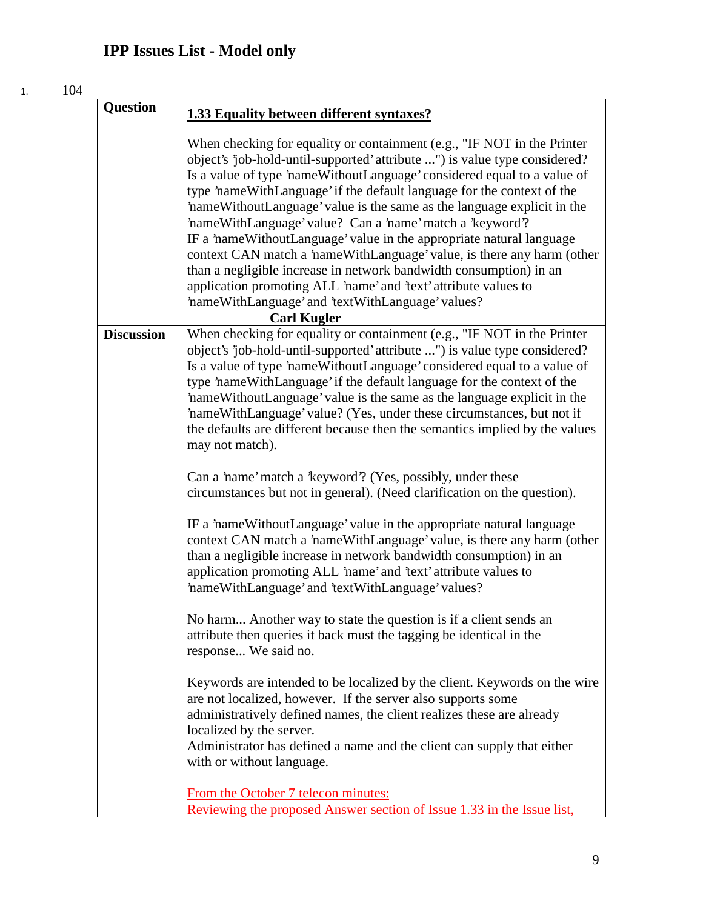| Question          | <b>1.33 Equality between different syntaxes?</b>                                                                                                                                                                                                                                                                                                                                                                                                                                                                                                                                                                                                                                                                                                                                                                                                                                                                                                                                                                                                                                                                                                                                                                                                                                                                                                                                             |
|-------------------|----------------------------------------------------------------------------------------------------------------------------------------------------------------------------------------------------------------------------------------------------------------------------------------------------------------------------------------------------------------------------------------------------------------------------------------------------------------------------------------------------------------------------------------------------------------------------------------------------------------------------------------------------------------------------------------------------------------------------------------------------------------------------------------------------------------------------------------------------------------------------------------------------------------------------------------------------------------------------------------------------------------------------------------------------------------------------------------------------------------------------------------------------------------------------------------------------------------------------------------------------------------------------------------------------------------------------------------------------------------------------------------------|
| <b>Discussion</b> | When checking for equality or containment (e.g., "IF NOT in the Printer<br>object's 'job-hold-until-supported' attribute ") is value type considered?<br>Is a value of type 'nameWithoutLanguage' considered equal to a value of<br>type 'nameWithLanguage' if the default language for the context of the<br>'nameWithoutLanguage' value is the same as the language explicit in the<br>'nameWithLanguage' value? Can a 'name' match a 'keyword'?<br>IF a 'nameWithoutLanguage' value in the appropriate natural language<br>context CAN match a 'nameWithLanguage' value, is there any harm (other<br>than a negligible increase in network bandwidth consumption) in an<br>application promoting ALL 'name' and 'text' attribute values to<br>'nameWithLanguage' and 'textWithLanguage' values?<br><b>Carl Kugler</b><br>When checking for equality or containment (e.g., "IF NOT in the Printer<br>object's 'job-hold-until-supported' attribute ") is value type considered?<br>Is a value of type 'nameWithoutLanguage' considered equal to a value of<br>type 'nameWithLanguage' if the default language for the context of the<br>'nameWithoutLanguage' value is the same as the language explicit in the<br>'nameWithLanguage' value? (Yes, under these circumstances, but not if<br>the defaults are different because then the semantics implied by the values<br>may not match). |
|                   | Can a 'name' match a 'keyword'? (Yes, possibly, under these<br>circumstances but not in general). (Need clarification on the question).<br>IF a 'nameWithoutLanguage' value in the appropriate natural language<br>context CAN match a 'nameWithLanguage' value, is there any harm (other<br>than a negligible increase in network bandwidth consumption) in an<br>application promoting ALL 'name' and 'text' attribute values to                                                                                                                                                                                                                                                                                                                                                                                                                                                                                                                                                                                                                                                                                                                                                                                                                                                                                                                                                           |
|                   | 'nameWithLanguage' and 'textWithLanguage' values?<br>No harm Another way to state the question is if a client sends an<br>attribute then queries it back must the tagging be identical in the<br>response We said no.                                                                                                                                                                                                                                                                                                                                                                                                                                                                                                                                                                                                                                                                                                                                                                                                                                                                                                                                                                                                                                                                                                                                                                        |
|                   | Keywords are intended to be localized by the client. Keywords on the wire<br>are not localized, however. If the server also supports some<br>administratively defined names, the client realizes these are already<br>localized by the server.<br>Administrator has defined a name and the client can supply that either<br>with or without language.                                                                                                                                                                                                                                                                                                                                                                                                                                                                                                                                                                                                                                                                                                                                                                                                                                                                                                                                                                                                                                        |
|                   | From the October 7 telecon minutes:<br>Reviewing the proposed Answer section of Issue 1.33 in the Issue list,                                                                                                                                                                                                                                                                                                                                                                                                                                                                                                                                                                                                                                                                                                                                                                                                                                                                                                                                                                                                                                                                                                                                                                                                                                                                                |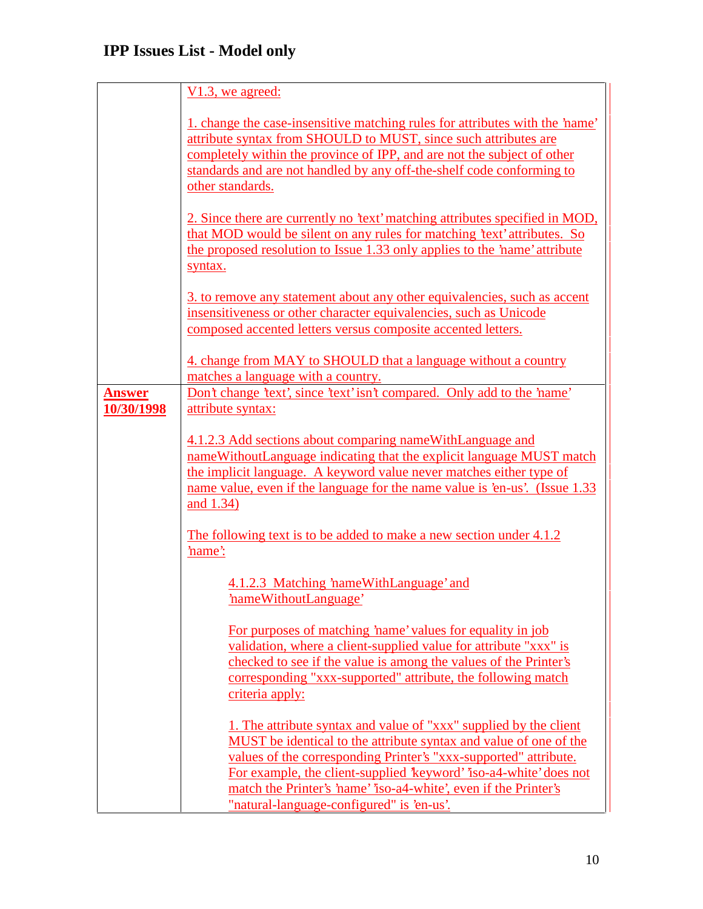|                             | V1.3, we agreed:                                                                                                                                                                                                                                                                                                                                                                                  |  |
|-----------------------------|---------------------------------------------------------------------------------------------------------------------------------------------------------------------------------------------------------------------------------------------------------------------------------------------------------------------------------------------------------------------------------------------------|--|
|                             | 1. change the case-insensitive matching rules for attributes with the 'name'<br>attribute syntax from SHOULD to MUST, since such attributes are<br>completely within the province of IPP, and are not the subject of other<br>standards and are not handled by any off-the-shelf code conforming to<br>other standards.                                                                           |  |
|                             | 2. Since there are currently no 'text' matching attributes specified in MOD,<br>that MOD would be silent on any rules for matching 'text' attributes. So<br>the proposed resolution to Issue 1.33 only applies to the 'name' attribute<br>syntax.                                                                                                                                                 |  |
|                             | 3. to remove any statement about any other equivalencies, such as accent<br>insensitiveness or other character equivalencies, such as Unicode<br>composed accented letters versus composite accented letters.                                                                                                                                                                                     |  |
|                             | 4. change from MAY to SHOULD that a language without a country<br>matches a language with a country.                                                                                                                                                                                                                                                                                              |  |
| <b>Answer</b><br>10/30/1998 | Don't change 'text', since 'text' isn't compared. Only add to the 'name'<br>attribute syntax:                                                                                                                                                                                                                                                                                                     |  |
|                             | 4.1.2.3 Add sections about comparing name With Language and<br>nameWithoutLanguage indicating that the explicit language MUST match<br>the implicit language. A keyword value never matches either type of<br>name value, even if the language for the name value is 'en-us'. (Issue 1.33)<br>and 1.34)                                                                                           |  |
|                             | The following text is to be added to make a new section under 4.1.2<br>'name':                                                                                                                                                                                                                                                                                                                    |  |
|                             | 4.1.2.3 Matching name With Language' and<br>'nameWithoutLanguage                                                                                                                                                                                                                                                                                                                                  |  |
|                             | For purposes of matching 'name' values for equality in job<br>validation, where a client-supplied value for attribute "xxx" is<br>checked to see if the value is among the values of the Printer's<br>corresponding "xxx-supported" attribute, the following match<br>criteria apply:                                                                                                             |  |
|                             | 1. The attribute syntax and value of "xxx" supplied by the client<br>MUST be identical to the attribute syntax and value of one of the<br>values of the corresponding Printer's "xxx-supported" attribute.<br>For example, the client-supplied 'keyword' 'iso-a4-white' does not<br>match the Printer's 'name' 'iso-a4-white', even if the Printer's<br>"natural-language-configured" is 'en-us'. |  |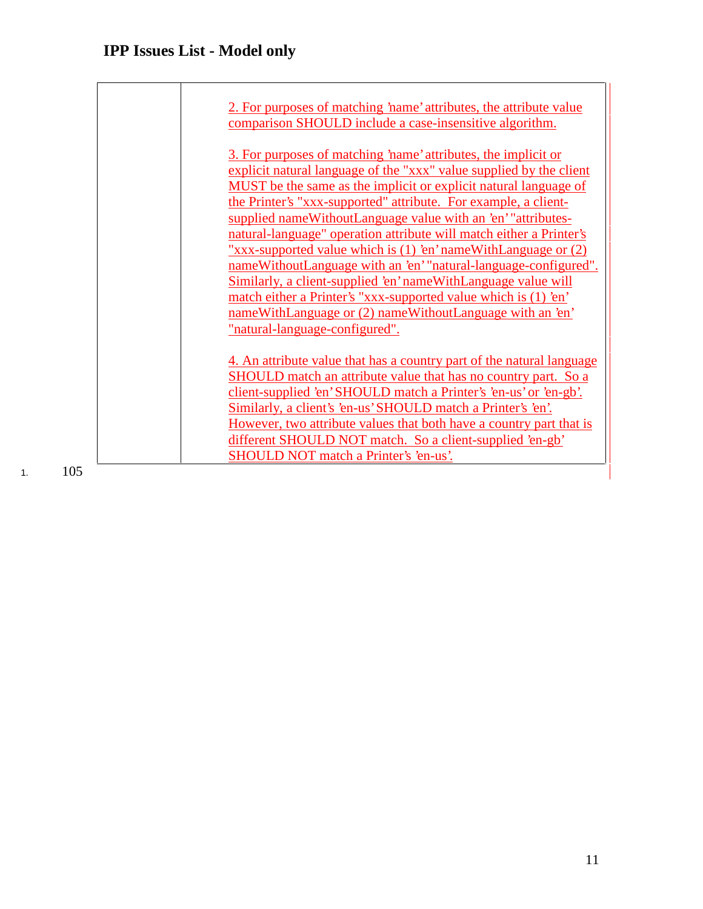| 2. For purposes of matching 'name' attributes, the attribute value<br>comparison SHOULD include a case-insensitive algorithm.                                                                              |
|------------------------------------------------------------------------------------------------------------------------------------------------------------------------------------------------------------|
| 3. For purposes of matching 'name' attributes, the implicit or                                                                                                                                             |
| explicit natural language of the "xxx" value supplied by the client<br>MUST be the same as the implicit or explicit natural language of<br>the Printer's "xxx-supported" attribute. For example, a client- |
| supplied nameWithoutLanguage value with an 'en' "attributes-<br>natural-language" operation attribute will match either a Printer's                                                                        |
| "xxx-supported value which is (1) 'en' nameWithLanguage or (2)<br>nameWithoutLanguage with an 'en' "natural-language-configured".<br>Similarly, a client-supplied 'en' name With Language value will       |
| match either a Printer's "xxx-supported value which is (1) 'en'<br>nameWithLanguage or (2) nameWithoutLanguage with an 'en'                                                                                |
| "natural-language-configured".<br>4. An attribute value that has a country part of the natural language                                                                                                    |
| SHOULD match an attribute value that has no country part. So a<br>client-supplied 'en' SHOULD match a Printer's 'en-us' or 'en-gb'.                                                                        |
| Similarly, a client's 'en-us' SHOULD match a Printer's 'en'.<br>However, two attribute values that both have a country part that is<br>different SHOULD NOT match. So a client-supplied 'en-gb'            |
| <b>SHOULD NOT match a Printer's 'en-us'.</b>                                                                                                                                                               |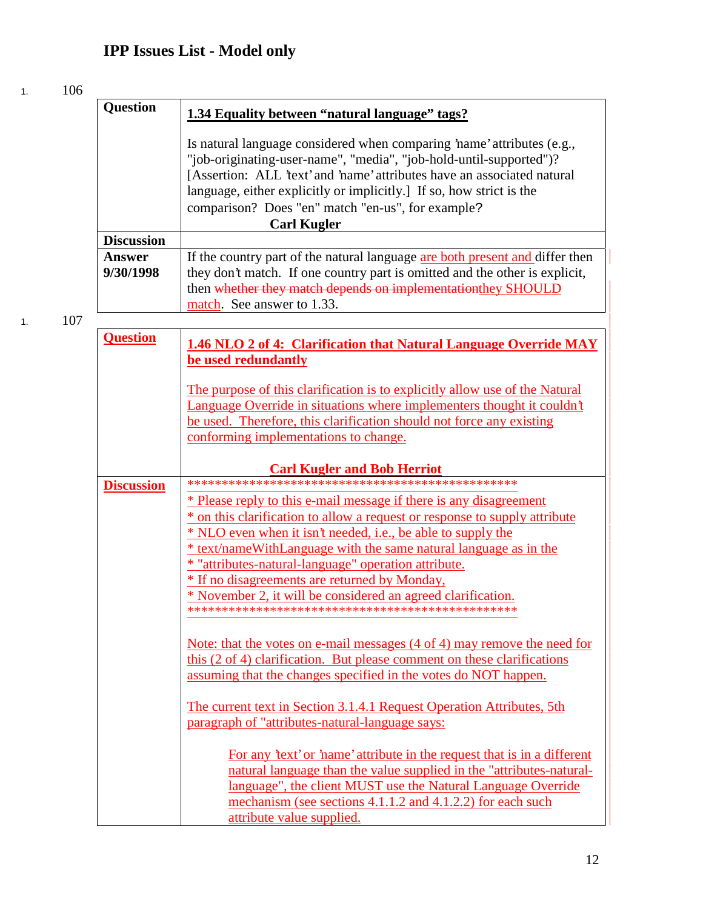| 106 |
|-----|
|     |

| <b>Question</b>            | 1.34 Equality between "natural language" tags?                                                                                                                                                                                                                                                                                                                                                                                                                                                                                                                                                                                                                                                                                                                                                                                                                   |  |
|----------------------------|------------------------------------------------------------------------------------------------------------------------------------------------------------------------------------------------------------------------------------------------------------------------------------------------------------------------------------------------------------------------------------------------------------------------------------------------------------------------------------------------------------------------------------------------------------------------------------------------------------------------------------------------------------------------------------------------------------------------------------------------------------------------------------------------------------------------------------------------------------------|--|
|                            | Is natural language considered when comparing 'name' attributes (e.g.,<br>"job-originating-user-name", "media", "job-hold-until-supported")?<br>[Assertion: ALL 'text' and 'name' attributes have an associated natural<br>language, either explicitly or implicitly.] If so, how strict is the<br>comparison? Does "en" match "en-us", for example?<br><b>Carl Kugler</b>                                                                                                                                                                                                                                                                                                                                                                                                                                                                                       |  |
| <b>Discussion</b>          |                                                                                                                                                                                                                                                                                                                                                                                                                                                                                                                                                                                                                                                                                                                                                                                                                                                                  |  |
| <b>Answer</b><br>9/30/1998 | If the country part of the natural language are both present and differ then<br>they don't match. If one country part is omitted and the other is explicit,<br>then whether they match depends on implementationthey SHOULD<br>match. See answer to 1.33.                                                                                                                                                                                                                                                                                                                                                                                                                                                                                                                                                                                                        |  |
| <b>Question</b>            | 1.46 NLO 2 of 4: Clarification that Natural Language Override MAY<br>be used redundantly                                                                                                                                                                                                                                                                                                                                                                                                                                                                                                                                                                                                                                                                                                                                                                         |  |
|                            | The purpose of this clarification is to explicitly allow use of the Natural<br>Language Override in situations where implementers thought it couldn't<br>be used. Therefore, this clarification should not force any existing<br>conforming implementations to change.                                                                                                                                                                                                                                                                                                                                                                                                                                                                                                                                                                                           |  |
| <b>Discussion</b>          | <b>Carl Kugler and Bob Herriot</b><br><u>* Please reply to this e-mail message if there is any disagreement</u><br>* on this clarification to allow a request or response to supply attribute<br>* NLO even when it isn't needed, i.e., be able to supply the<br>* text/nameWithLanguage with the same natural language as in the<br>* "attributes-natural-language" operation attribute.<br>* If no disagreements are returned by Monday,<br>* November 2, it will be considered an agreed clarification.<br>Note: that the votes on e-mail messages (4 of 4) may remove the need for<br>this (2 of 4) clarification. But please comment on these clarifications<br>assuming that the changes specified in the votes do NOT happen.<br>The current text in Section 3.1.4.1 Request Operation Attributes, 5th<br>paragraph of "attributes-natural-language says: |  |
|                            | For any 'text' or 'name' attribute in the request that is in a different<br>natural language than the value supplied in the "attributes-natural-<br>language", the client MUST use the Natural Language Override<br>mechanism (see sections 4.1.1.2 and 4.1.2.2) for each such<br>attribute value supplied.                                                                                                                                                                                                                                                                                                                                                                                                                                                                                                                                                      |  |

1. 107

12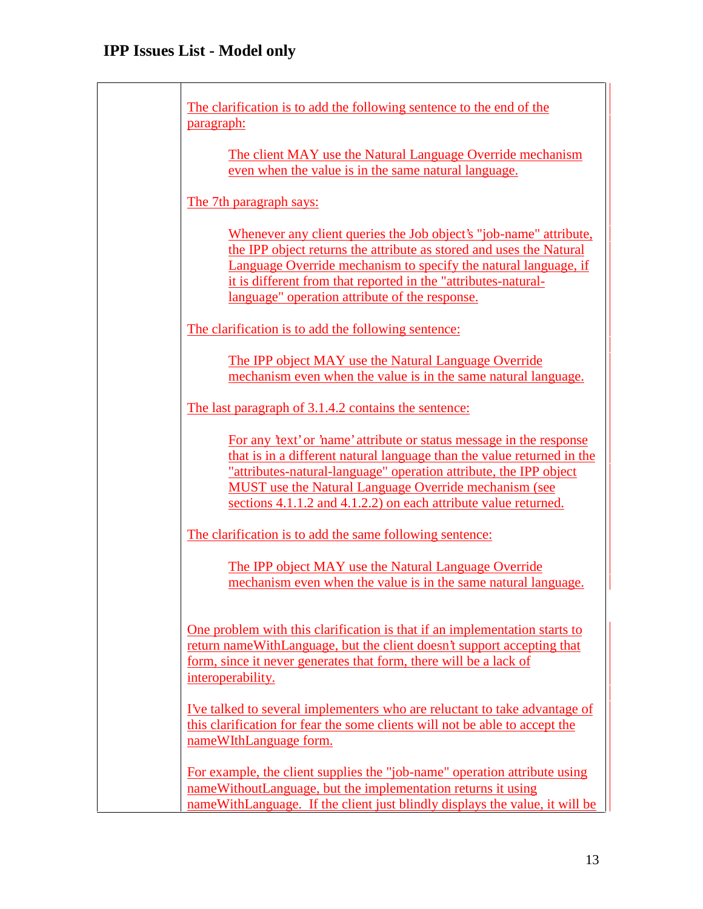| The clarification is to add the following sentence to the end of the<br>paragraph:                                                                                                                                                                                                                                                              |
|-------------------------------------------------------------------------------------------------------------------------------------------------------------------------------------------------------------------------------------------------------------------------------------------------------------------------------------------------|
| The client MAY use the Natural Language Override mechanism<br>even when the value is in the same natural language.                                                                                                                                                                                                                              |
| <u>The 7th paragraph says:</u>                                                                                                                                                                                                                                                                                                                  |
| Whenever any client queries the Job object's "job-name" attribute,<br>the IPP object returns the attribute as stored and uses the Natural<br>Language Override mechanism to specify the natural language, if<br>it is different from that reported in the "attributes-natural-<br>language" operation attribute of the response.                |
| The clarification is to add the following sentence:                                                                                                                                                                                                                                                                                             |
| The IPP object MAY use the Natural Language Override<br>mechanism even when the value is in the same natural language.                                                                                                                                                                                                                          |
| The last paragraph of 3.1.4.2 contains the sentence:                                                                                                                                                                                                                                                                                            |
| For any 'text' or 'name' attribute or status message in the response<br>that is in a different natural language than the value returned in the<br>"attributes-natural-language" operation attribute, the IPP object<br>MUST use the Natural Language Override mechanism (see<br>sections 4.1.1.2 and 4.1.2.2) on each attribute value returned. |
| The clarification is to add the same following sentence:                                                                                                                                                                                                                                                                                        |
| The IPP object MAY use the Natural Language Override<br>mechanism even when the value is in the same natural language.                                                                                                                                                                                                                          |
| One problem with this clarification is that if an implementation starts to<br>return nameWithLanguage, but the client doesn't support accepting that<br>form, since it never generates that form, there will be a lack of<br>interoperability.                                                                                                  |
| I've talked to several implementers who are reluctant to take advantage of<br>this clarification for fear the some clients will not be able to accept the<br>nameWIthLanguage form.                                                                                                                                                             |
| For example, the client supplies the "job-name" operation attribute using<br>nameWithoutLanguage, but the implementation returns it using<br>nameWithLanguage. If the client just blindly displays the value, it will be                                                                                                                        |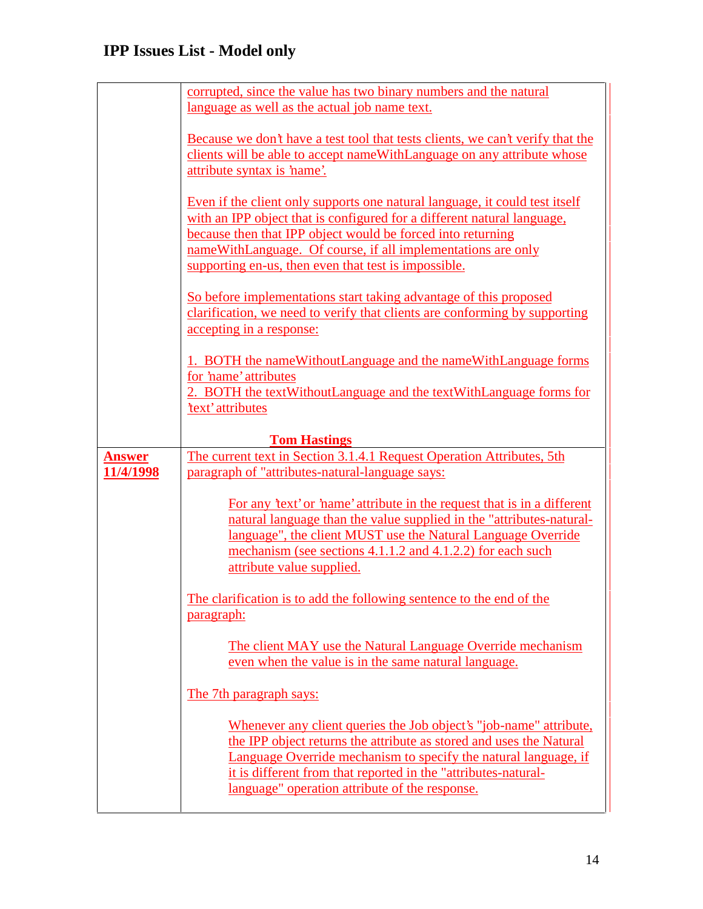|                            | corrupted, since the value has two binary numbers and the natural                                                                                                                                                                                                                                                                             |
|----------------------------|-----------------------------------------------------------------------------------------------------------------------------------------------------------------------------------------------------------------------------------------------------------------------------------------------------------------------------------------------|
|                            | language as well as the actual job name text.                                                                                                                                                                                                                                                                                                 |
|                            | Because we don't have a test tool that tests clients, we can't verify that the<br>clients will be able to accept nameWithLanguage on any attribute whose<br>attribute syntax is 'name'.                                                                                                                                                       |
|                            | Even if the client only supports one natural language, it could test itself<br>with an IPP object that is configured for a different natural language.<br>because then that IPP object would be forced into returning<br>nameWithLanguage. Of course, if all implementations are only<br>supporting en-us, then even that test is impossible. |
|                            | So before implementations start taking advantage of this proposed<br>clarification, we need to verify that clients are conforming by supporting<br>accepting in a response:                                                                                                                                                                   |
|                            | 1. BOTH the nameWithoutLanguage and the nameWithLanguage forms<br>for 'name' attributes<br>2. BOTH the textWithoutLanguage and the textWithLanguage forms for<br>'text' attributes                                                                                                                                                            |
|                            |                                                                                                                                                                                                                                                                                                                                               |
| <b>Answer</b><br>11/4/1998 | <b>Tom Hastings</b><br>The current text in Section 3.1.4.1 Request Operation Attributes, 5th<br>paragraph of "attributes-natural-language says:                                                                                                                                                                                               |
|                            | For any 'text' or 'name' attribute in the request that is in a different<br>natural language than the value supplied in the "attributes-natural-<br>language", the client MUST use the Natural Language Override<br>mechanism (see sections 4.1.1.2 and 4.1.2.2) for each such<br>attribute value supplied.                                   |
|                            | The clarification is to add the following sentence to the end of the<br>paragraph:                                                                                                                                                                                                                                                            |
|                            | The client MAY use the Natural Language Override mechanism<br>even when the value is in the same natural language.                                                                                                                                                                                                                            |
|                            | The 7th paragraph says:                                                                                                                                                                                                                                                                                                                       |
|                            | Whenever any client queries the Job object's "job-name" attribute,<br>the IPP object returns the attribute as stored and uses the Natural<br>Language Override mechanism to specify the natural language, if<br>it is different from that reported in the "attributes-natural-<br>language" operation attribute of the response.              |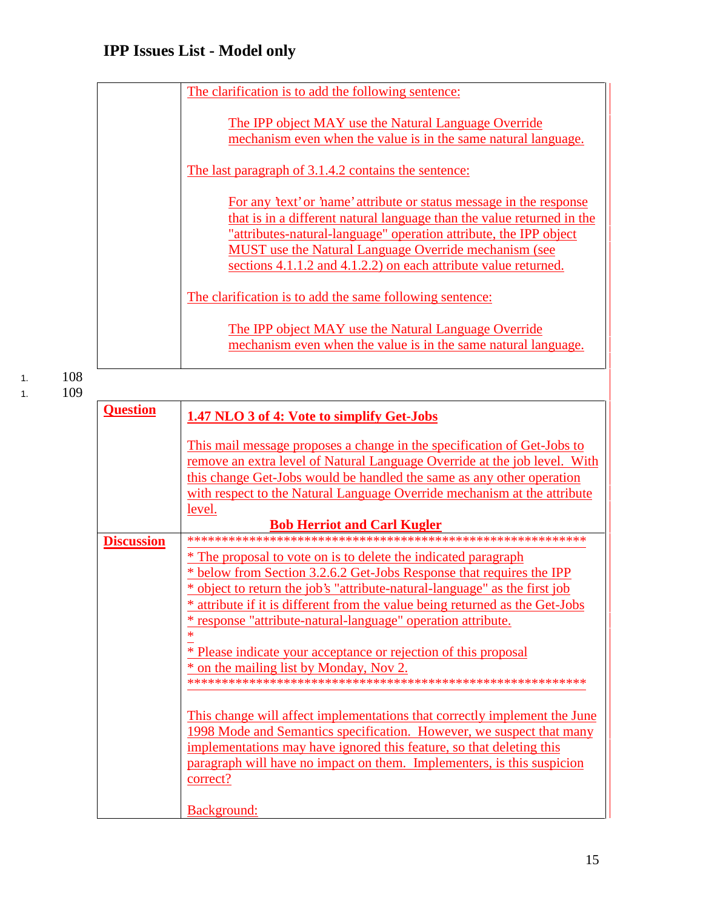1. 108 1. 109

|                   | The clarification is to add the following sentence:                                                                                                                                                                                                                                                                                                                                                                                                                                     |
|-------------------|-----------------------------------------------------------------------------------------------------------------------------------------------------------------------------------------------------------------------------------------------------------------------------------------------------------------------------------------------------------------------------------------------------------------------------------------------------------------------------------------|
|                   | The IPP object MAY use the Natural Language Override<br>mechanism even when the value is in the same natural language.                                                                                                                                                                                                                                                                                                                                                                  |
|                   | The last paragraph of 3.1.4.2 contains the sentence:                                                                                                                                                                                                                                                                                                                                                                                                                                    |
|                   | For any 'text' or 'name' attribute or status message in the response<br>that is in a different natural language than the value returned in the<br>"attributes-natural-language" operation attribute, the IPP object<br>MUST use the Natural Language Override mechanism (see<br>sections 4.1.1.2 and 4.1.2.2) on each attribute value returned.                                                                                                                                         |
|                   | The clarification is to add the same following sentence:                                                                                                                                                                                                                                                                                                                                                                                                                                |
|                   | The IPP object MAY use the Natural Language Override<br>mechanism even when the value is in the same natural language.                                                                                                                                                                                                                                                                                                                                                                  |
|                   |                                                                                                                                                                                                                                                                                                                                                                                                                                                                                         |
| <b>Question</b>   | 1.47 NLO 3 of 4: Vote to simplify Get-Jobs                                                                                                                                                                                                                                                                                                                                                                                                                                              |
|                   | This mail message proposes a change in the specification of Get-Jobs to<br>remove an extra level of Natural Language Override at the job level. With<br>this change Get-Jobs would be handled the same as any other operation<br>with respect to the Natural Language Override mechanism at the attribute<br>level.<br><b>Bob Herriot and Carl Kugler</b>                                                                                                                               |
| <b>Discussion</b> |                                                                                                                                                                                                                                                                                                                                                                                                                                                                                         |
|                   | * The proposal to vote on is to delete the indicated paragraph<br>* below from Section 3.2.6.2 Get-Jobs Response that requires the IPP<br>* object to return the job's "attribute-natural-language" as the first job<br>* attribute if it is different from the value being returned as the Get-Jobs<br>* response "attribute-natural-language" operation attribute.<br>*<br>* Please indicate your acceptance or rejection of this proposal<br>* on the mailing list by Monday, Nov 2. |
|                   |                                                                                                                                                                                                                                                                                                                                                                                                                                                                                         |
|                   | This change will affect implementations that correctly implement the June<br>1998 Mode and Semantics specification. However, we suspect that many<br>implementations may have ignored this feature, so that deleting this<br>paragraph will have no impact on them. Implementers, is this suspicion<br>correct?                                                                                                                                                                         |
|                   | Background:                                                                                                                                                                                                                                                                                                                                                                                                                                                                             |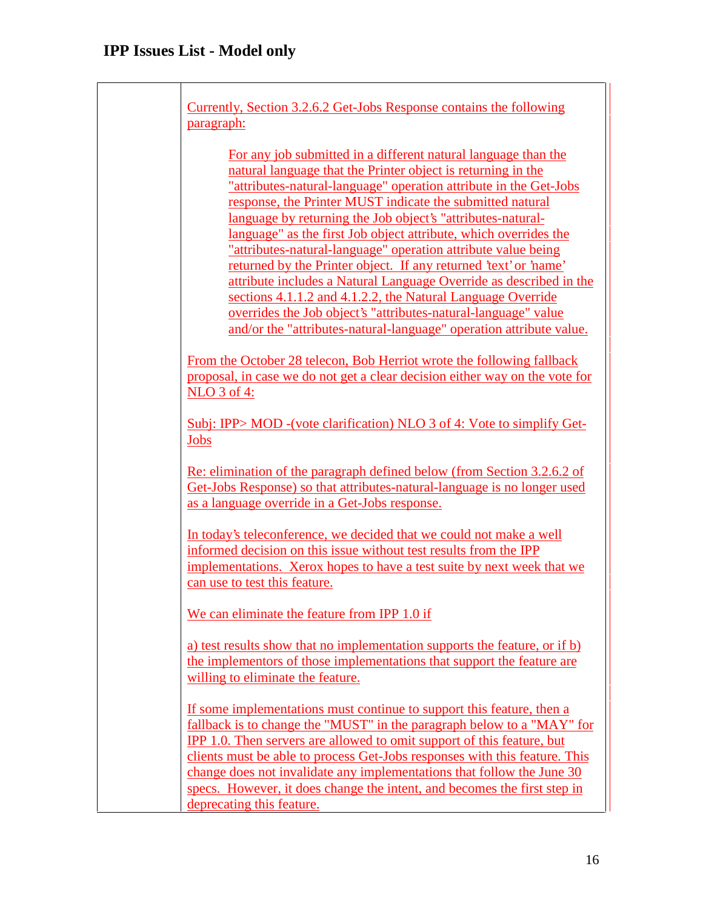Τ

| <u>Currently, Section 3.2.6.2 Get-Jobs Response contains the following</u><br>paragraph:                                                                                                                                                                                                                                                                                                                                                                                                                                                                                                                                                                                                                                                                                                                               |
|------------------------------------------------------------------------------------------------------------------------------------------------------------------------------------------------------------------------------------------------------------------------------------------------------------------------------------------------------------------------------------------------------------------------------------------------------------------------------------------------------------------------------------------------------------------------------------------------------------------------------------------------------------------------------------------------------------------------------------------------------------------------------------------------------------------------|
| For any job submitted in a different natural language than the<br>natural language that the Printer object is returning in the<br>"attributes-natural-language" operation attribute in the Get-Jobs<br>response, the Printer MUST indicate the submitted natural<br>language by returning the Job object's "attributes-natural-<br>language" as the first Job object attribute, which overrides the<br>"attributes-natural-language" operation attribute value being<br>returned by the Printer object. If any returned 'text' or 'name'<br>attribute includes a Natural Language Override as described in the<br>sections 4.1.1.2 and 4.1.2.2, the Natural Language Override<br>overrides the Job object's "attributes-natural-language" value<br>and/or the "attributes-natural-language" operation attribute value. |
| From the October 28 telecon, Bob Herriot wrote the following fallback<br>proposal, in case we do not get a clear decision either way on the vote for<br>NLO 3 of 4:                                                                                                                                                                                                                                                                                                                                                                                                                                                                                                                                                                                                                                                    |
| Subj: IPP> MOD - (vote clarification) NLO 3 of 4: Vote to simplify Get-<br>Jobs                                                                                                                                                                                                                                                                                                                                                                                                                                                                                                                                                                                                                                                                                                                                        |
| Re: elimination of the paragraph defined below (from Section 3.2.6.2 of<br>Get-Jobs Response) so that attributes-natural-language is no longer used<br>as a language override in a Get-Jobs response.                                                                                                                                                                                                                                                                                                                                                                                                                                                                                                                                                                                                                  |
| In today's teleconference, we decided that we could not make a well<br>informed decision on this issue without test results from the IPP<br>implementations. Xerox hopes to have a test suite by next week that we<br>can use to test this feature.                                                                                                                                                                                                                                                                                                                                                                                                                                                                                                                                                                    |
| We can eliminate the feature from IPP 1.0 if                                                                                                                                                                                                                                                                                                                                                                                                                                                                                                                                                                                                                                                                                                                                                                           |
| a) test results show that no implementation supports the feature, or if b)<br>the implementors of those implementations that support the feature are<br>willing to eliminate the feature.                                                                                                                                                                                                                                                                                                                                                                                                                                                                                                                                                                                                                              |
| If some implementations must continue to support this feature, then a<br>fallback is to change the "MUST" in the paragraph below to a "MAY" for<br>IPP 1.0. Then servers are allowed to omit support of this feature, but<br>clients must be able to process Get-Jobs responses with this feature. This<br>change does not invalidate any implementations that follow the June 30<br>specs. However, it does change the intent, and becomes the first step in<br>deprecating this feature.                                                                                                                                                                                                                                                                                                                             |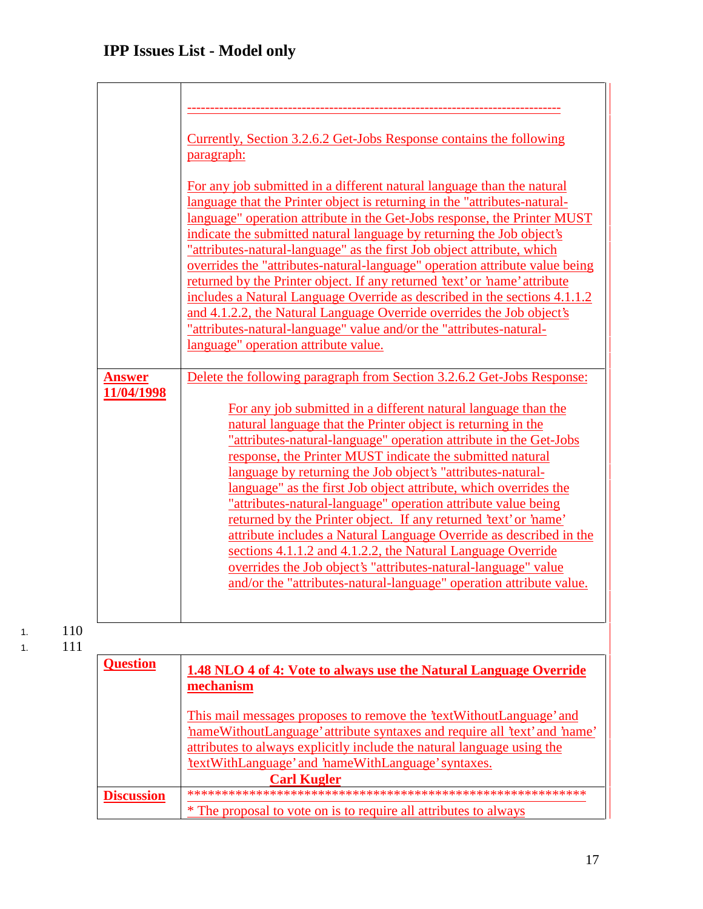|                             | Currently, Section 3.2.6.2 Get-Jobs Response contains the following<br>paragraph:                                                                                                                                                                                                                                                                                                                                                                                                                                                                                                                                                                                                                                                                                                                                      |
|-----------------------------|------------------------------------------------------------------------------------------------------------------------------------------------------------------------------------------------------------------------------------------------------------------------------------------------------------------------------------------------------------------------------------------------------------------------------------------------------------------------------------------------------------------------------------------------------------------------------------------------------------------------------------------------------------------------------------------------------------------------------------------------------------------------------------------------------------------------|
|                             | For any job submitted in a different natural language than the natural<br>language that the Printer object is returning in the "attributes-natural-<br>language" operation attribute in the Get-Jobs response, the Printer MUST<br>indicate the submitted natural language by returning the Job object's<br>"attributes-natural-language" as the first Job object attribute, which<br>overrides the "attributes-natural-language" operation attribute value being<br>returned by the Printer object. If any returned 'text' or 'name' attribute<br>includes a Natural Language Override as described in the sections 4.1.1.2<br>and 4.1.2.2, the Natural Language Override overrides the Job object's<br>"attributes-natural-language" value and/or the "attributes-natural-<br>language" operation attribute value.   |
| <b>Answer</b><br>11/04/1998 | Delete the following paragraph from Section 3.2.6.2 Get-Jobs Response:                                                                                                                                                                                                                                                                                                                                                                                                                                                                                                                                                                                                                                                                                                                                                 |
|                             | For any job submitted in a different natural language than the<br>natural language that the Printer object is returning in the<br>"attributes-natural-language" operation attribute in the Get-Jobs<br>response, the Printer MUST indicate the submitted natural<br>language by returning the Job object's "attributes-natural-<br>language" as the first Job object attribute, which overrides the<br>"attributes-natural-language" operation attribute value being<br>returned by the Printer object. If any returned 'text' or 'name'<br>attribute includes a Natural Language Override as described in the<br>sections 4.1.1.2 and 4.1.2.2, the Natural Language Override<br>overrides the Job object's "attributes-natural-language" value<br>and/or the "attributes-natural-language" operation attribute value. |

| ◢ |  | l | ı | 1 |
|---|--|---|---|---|
|   |  |   |   |   |

| <b>Question</b>   | 1.48 NLO 4 of 4: Vote to always use the Natural Language Override<br>mechanism                                                                                                                                                                                                     |
|-------------------|------------------------------------------------------------------------------------------------------------------------------------------------------------------------------------------------------------------------------------------------------------------------------------|
|                   | This mail messages proposes to remove the 'textWithoutLanguage' and<br>'nameWithoutLanguage' attribute syntaxes and require all 'text' and 'name'<br>attributes to always explicitly include the natural language using the<br>'textWithLanguage' and 'nameWithLanguage' syntaxes. |
|                   | <b>Carl Kugler</b>                                                                                                                                                                                                                                                                 |
| <b>Discussion</b> | * The proposal to vote on is to require all attributes to always                                                                                                                                                                                                                   |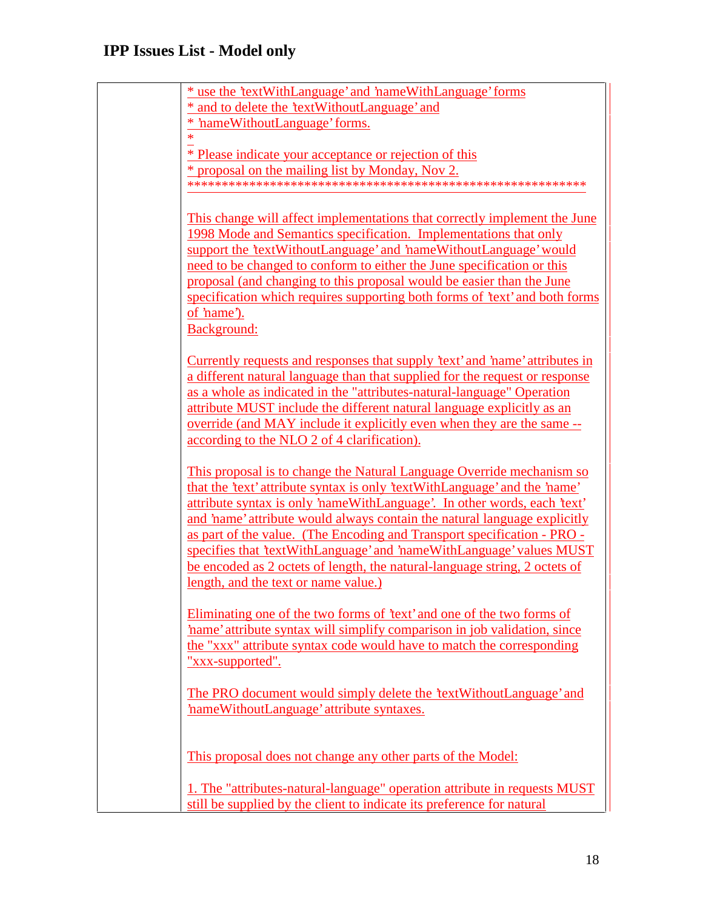| use the 'textWithLanguage' and 'nameWithLanguage' forms                                                                                                                                                                                                                                                                                                                                                                                                                                                                                                                               |
|---------------------------------------------------------------------------------------------------------------------------------------------------------------------------------------------------------------------------------------------------------------------------------------------------------------------------------------------------------------------------------------------------------------------------------------------------------------------------------------------------------------------------------------------------------------------------------------|
| * and to delete the 'textWithoutLanguage' and<br>* 'nameWithoutLanguage' forms.                                                                                                                                                                                                                                                                                                                                                                                                                                                                                                       |
| $\ast$                                                                                                                                                                                                                                                                                                                                                                                                                                                                                                                                                                                |
| <u>* Please indicate your acceptance or rejection of this</u>                                                                                                                                                                                                                                                                                                                                                                                                                                                                                                                         |
| * proposal on the mailing list by Monday, Nov 2.                                                                                                                                                                                                                                                                                                                                                                                                                                                                                                                                      |
| This change will affect implementations that correctly implement the June<br>1998 Mode and Semantics specification. Implementations that only<br>support the 'textWithoutLanguage' and 'nameWithoutLanguage' would<br>need to be changed to conform to either the June specification or this<br>proposal (and changing to this proposal would be easier than the June<br>specification which requires supporting both forms of 'text' and both forms<br>of 'name').<br>Background:                                                                                                    |
| Currently requests and responses that supply 'text' and 'name' attributes in<br>a different natural language than that supplied for the request or response<br>as a whole as indicated in the "attributes-natural-language" Operation<br>attribute MUST include the different natural language explicitly as an<br>override (and MAY include it explicitly even when they are the same --<br>according to the NLO 2 of 4 clarification).                                                                                                                                              |
| This proposal is to change the Natural Language Override mechanism so<br>that the 'text' attribute syntax is only 'textWithLanguage' and the 'name'<br>attribute syntax is only 'nameWithLanguage'. In other words, each 'text'<br>and 'name' attribute would always contain the natural language explicitly<br>as part of the value. (The Encoding and Transport specification - PRO -<br>specifies that 'textWithLanguage' and 'nameWithLanguage' values MUST<br>be encoded as 2 octets of length, the natural-language string, 2 octets of<br>length, and the text or name value.) |
| Eliminating one of the two forms of 'text' and one of the two forms of<br>hame' attribute syntax will simplify comparison in job validation, since<br>the "xxx" attribute syntax code would have to match the corresponding<br>"xxx-supported".                                                                                                                                                                                                                                                                                                                                       |
| The PRO document would simply delete the 'textWithoutLanguage' and<br>'nameWithoutLanguage' attribute syntaxes.                                                                                                                                                                                                                                                                                                                                                                                                                                                                       |
| This proposal does not change any other parts of the Model:                                                                                                                                                                                                                                                                                                                                                                                                                                                                                                                           |
| 1. The "attributes-natural-language" operation attribute in requests MUST<br>still be supplied by the client to indicate its preference for natural                                                                                                                                                                                                                                                                                                                                                                                                                                   |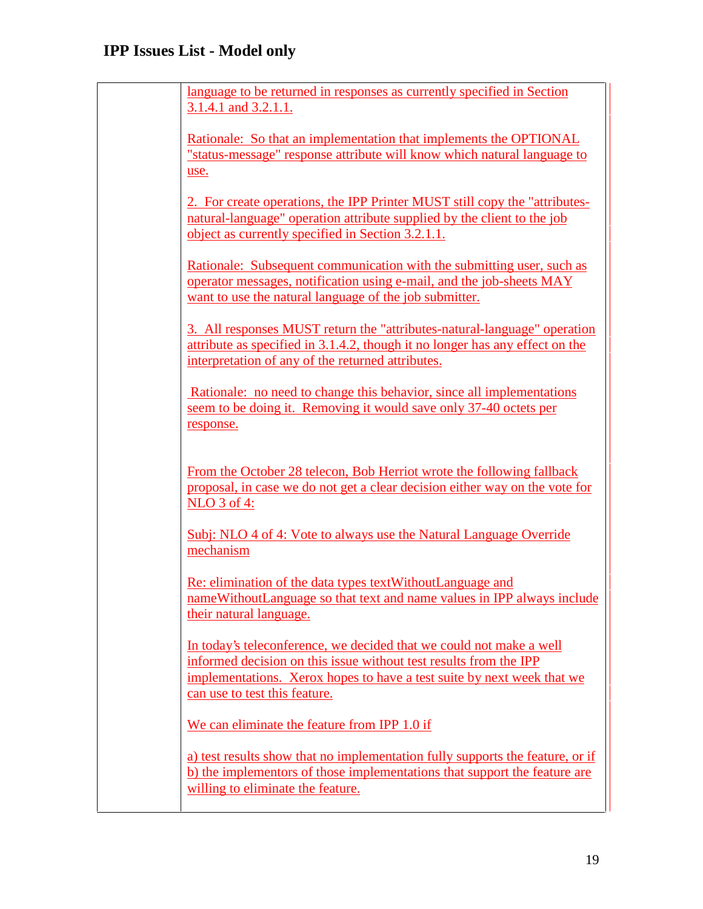| language to be returned in responses as currently specified in Section                                                                                                                                                                              |
|-----------------------------------------------------------------------------------------------------------------------------------------------------------------------------------------------------------------------------------------------------|
| 3.1.4.1 and 3.2.1.1.                                                                                                                                                                                                                                |
| Rationale: So that an implementation that implements the OPTIONAL<br>"status-message" response attribute will know which natural language to<br>use.                                                                                                |
| 2. For create operations, the IPP Printer MUST still copy the "attributes-<br>natural-language" operation attribute supplied by the client to the job<br>object as currently specified in Section 3.2.1.1.                                          |
| <u>Rationale: Subsequent communication with the submitting user, such as</u><br>operator messages, notification using e-mail, and the job-sheets MAY<br>want to use the natural language of the job submitter.                                      |
| 3. All responses MUST return the "attributes-natural-language" operation<br>attribute as specified in 3.1.4.2, though it no longer has any effect on the<br>interpretation of any of the returned attributes.                                       |
| Rationale: no need to change this behavior, since all implementations<br>seem to be doing it. Removing it would save only 37-40 octets per<br>response.                                                                                             |
| From the October 28 telecon, Bob Herriot wrote the following fallback<br>proposal, in case we do not get a clear decision either way on the vote for<br>NLO 3 of 4:                                                                                 |
| Subj: NLO 4 of 4: Vote to always use the Natural Language Override<br>mechanism                                                                                                                                                                     |
| Re: elimination of the data types text Without Language and<br>nameWithoutLanguage so that text and name values in IPP always include<br>their natural language.                                                                                    |
| In today's teleconference, we decided that we could not make a well<br>informed decision on this issue without test results from the IPP<br>implementations. Xerox hopes to have a test suite by next week that we<br>can use to test this feature. |
| We can eliminate the feature from IPP 1.0 if                                                                                                                                                                                                        |
| a) test results show that no implementation fully supports the feature, or if<br>b) the implementors of those implementations that support the feature are<br>willing to eliminate the feature.                                                     |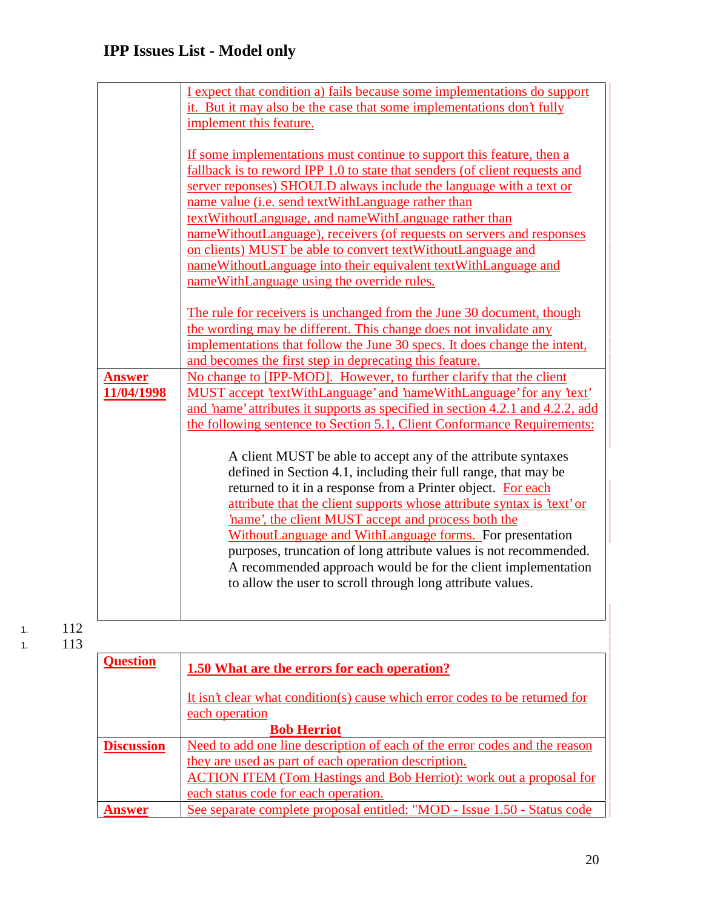|               | I expect that condition a) fails because some implementations do support       |
|---------------|--------------------------------------------------------------------------------|
|               | it. But it may also be the case that some implementations don't fully          |
|               | implement this feature.                                                        |
|               |                                                                                |
|               |                                                                                |
|               | If some implementations must continue to support this feature, then a          |
|               | fallback is to reword IPP 1.0 to state that senders (of client requests and    |
|               | server reponses) SHOULD always include the language with a text or             |
|               | name value (i.e. send textWithLanguage rather than                             |
|               | textWithoutLanguage, and nameWithLanguage rather than                          |
|               | nameWithoutLanguage), receivers (of requests on servers and responses          |
|               | on clients) MUST be able to convert textWithoutLanguage and                    |
|               | nameWithoutLanguage into their equivalent textWithLanguage and                 |
|               |                                                                                |
|               | nameWithLanguage using the override rules.                                     |
|               |                                                                                |
|               | The rule for receivers is unchanged from the June 30 document, though          |
|               | the wording may be different. This change does not invalidate any              |
|               | implementations that follow the June 30 specs. It does change the intent,      |
|               | and becomes the first step in deprecating this feature.                        |
| <b>Answer</b> | No change to [IPP-MOD]. However, to further clarify that the client            |
| 11/04/1998    | MUST accept 'textWithLanguage' and 'nameWithLanguage' for any 'text'           |
|               | and 'name' attributes it supports as specified in section 4.2.1 and 4.2.2, add |
|               | the following sentence to Section 5.1, Client Conformance Requirements:        |
|               |                                                                                |
|               |                                                                                |
|               | A client MUST be able to accept any of the attribute syntaxes                  |
|               | defined in Section 4.1, including their full range, that may be                |
|               | returned to it in a response from a Printer object. For each                   |
|               | attribute that the client supports whose attribute syntax is 'text' or         |
|               | hame', the client MUST accept and process both the                             |
|               | WithoutLanguage and WithLanguage forms. For presentation                       |
|               |                                                                                |
|               |                                                                                |
|               | purposes, truncation of long attribute values is not recommended.              |
|               | A recommended approach would be for the client implementation                  |
|               | to allow the user to scroll through long attribute values.                     |

| 1 | 1 | 13 |
|---|---|----|
|   |   |    |

| <b>Ouestion</b>   | 1.50 What are the errors for each operation?                                |  |
|-------------------|-----------------------------------------------------------------------------|--|
|                   | It isn't clear what condition(s) cause which error codes to be returned for |  |
|                   | each operation                                                              |  |
|                   | <b>Bob Herriot</b>                                                          |  |
| <b>Discussion</b> | Need to add one line description of each of the error codes and the reason  |  |
|                   | they are used as part of each operation description.                        |  |
|                   | <b>ACTION ITEM</b> (Tom Hastings and Bob Herriot): work out a proposal for  |  |
|                   | each status code for each operation.                                        |  |
|                   | See separate complete proposal entitled: "MOD - Issue 1.50 - Status code    |  |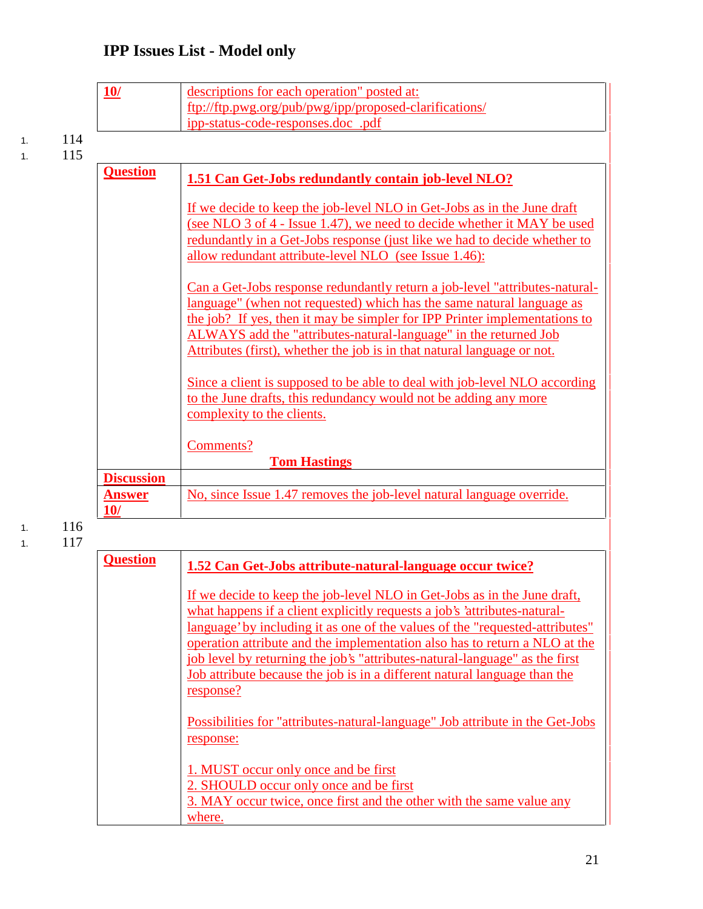response?

response:

where.

1. MUST occur only once and be first 2. SHOULD occur only once and be first

|          |            | 10/                  | descriptions for each operation" posted at:                                                                                                              |
|----------|------------|----------------------|----------------------------------------------------------------------------------------------------------------------------------------------------------|
|          |            |                      | ftp://ftp.pwg.org/pub/pwg/ipp/proposed-clarifications/                                                                                                   |
|          |            |                      | ipp-status-code-responses.doc.pdf                                                                                                                        |
| 1.<br>1. | 114<br>115 |                      |                                                                                                                                                          |
|          |            | <b>Question</b>      | 1.51 Can Get-Jobs redundantly contain job-level NLO?                                                                                                     |
|          |            |                      | If we decide to keep the job-level NLO in Get-Jobs as in the June draft                                                                                  |
|          |            |                      | (see NLO 3 of 4 - Issue 1.47), we need to decide whether it MAY be used                                                                                  |
|          |            |                      | redundantly in a Get-Jobs response (just like we had to decide whether to                                                                                |
|          |            |                      | allow redundant attribute-level NLO (see Issue 1.46):                                                                                                    |
|          |            |                      | Can a Get-Jobs response redundantly return a job-level "attributes-natural-                                                                              |
|          |            |                      | language" (when not requested) which has the same natural language as                                                                                    |
|          |            |                      | the job? If yes, then it may be simpler for IPP Printer implementations to                                                                               |
|          |            |                      | ALWAYS add the "attributes-natural-language" in the returned Job<br>Attributes (first), whether the job is in that natural language or not.              |
|          |            |                      |                                                                                                                                                          |
|          |            |                      | Since a client is supposed to be able to deal with job-level NLO according                                                                               |
|          |            |                      | to the June drafts, this redundancy would not be adding any more                                                                                         |
|          |            |                      | complexity to the clients.                                                                                                                               |
|          |            |                      | Comments?                                                                                                                                                |
|          |            |                      | <b>Tom Hastings</b>                                                                                                                                      |
|          |            | <b>Discussion</b>    |                                                                                                                                                          |
|          |            | <b>Answer</b><br>10/ | No, since Issue 1.47 removes the job-level natural language override.                                                                                    |
| 1.       | 116        |                      |                                                                                                                                                          |
| 1.       | 117        |                      |                                                                                                                                                          |
|          |            | <b>Question</b>      | 1.52 Can Get-Jobs attribute-natural-language occur twice?                                                                                                |
|          |            |                      | If we decide to keep the job-level NLO in Get-Jobs as in the June draft,                                                                                 |
|          |            |                      | what happens if a client explicitly requests a job's 'attributes-natural-                                                                                |
|          |            |                      | language' by including it as one of the values of the "requested-attributes"                                                                             |
|          |            |                      | operation attribute and the implementation also has to return a NLO at the                                                                               |
|          |            |                      | job level by returning the job's "attributes-natural-language" as the first<br>Job attribute because the job is in a different natural language than the |
|          |            |                      |                                                                                                                                                          |

Possibilities for "attributes-natural-language" Job attribute in the Get-Jobs

3. MAY occur twice, once first and the other with the same value any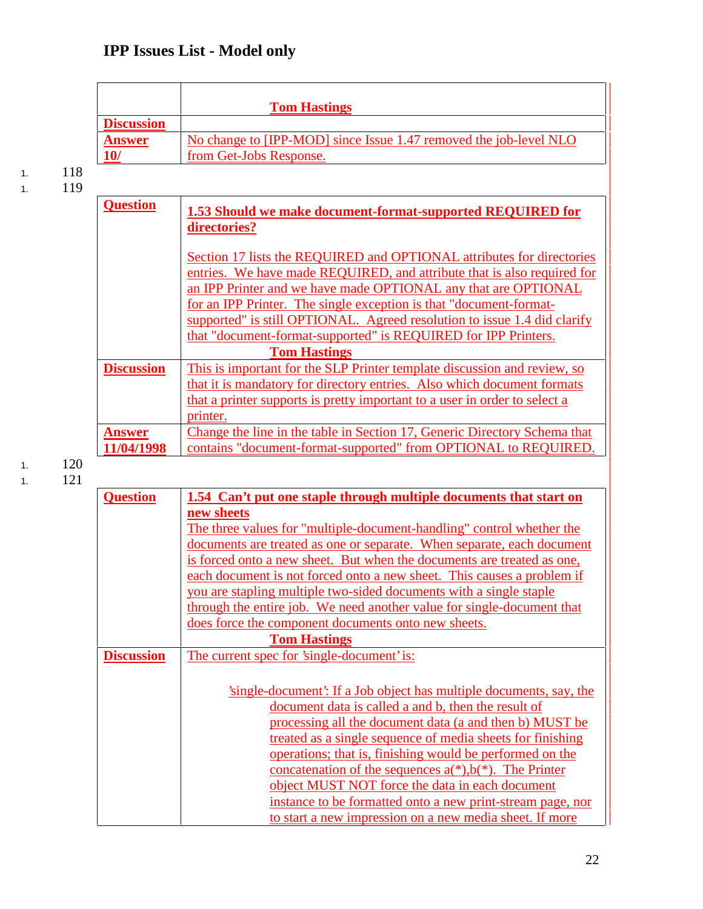|                   | <b>Tom Hastings</b>                                                                                                                              |  |
|-------------------|--------------------------------------------------------------------------------------------------------------------------------------------------|--|
| <b>Discussion</b> |                                                                                                                                                  |  |
| <b>Answer</b>     | No change to [IPP-MOD] since Issue 1.47 removed the job-level NLO                                                                                |  |
| 10/               | from Get-Jobs Response.                                                                                                                          |  |
| <b>Question</b>   | 1.53 Should we make document-format-supported REQUIRED for<br>directories?                                                                       |  |
|                   |                                                                                                                                                  |  |
|                   | Section 17 lists the REQUIRED and OPTIONAL attributes for directories<br>entries. We have made REQUIRED, and attribute that is also required for |  |
|                   | an IPP Printer and we have made OPTIONAL any that are OPTIONAL                                                                                   |  |
|                   | for an IPP Printer. The single exception is that "document-format-                                                                               |  |
|                   | supported" is still OPTIONAL. Agreed resolution to issue 1.4 did clarify                                                                         |  |
|                   | that "document-format-supported" is REQUIRED for IPP Printers.                                                                                   |  |
|                   | <b>Tom Hastings</b>                                                                                                                              |  |
| <b>Discussion</b> | This is important for the SLP Printer template discussion and review, so                                                                         |  |
|                   | that it is mandatory for directory entries. Also which document formats                                                                          |  |
|                   | that a printer supports is pretty important to a user in order to select a                                                                       |  |
|                   | printer.                                                                                                                                         |  |
| <b>Answer</b>     | Change the line in the table in Section 17, Generic Directory Schema that                                                                        |  |
| 11/04/1998        | contains "document-format-supported" from OPTIONAL to REQUIRED.                                                                                  |  |
|                   |                                                                                                                                                  |  |
| <b>Question</b>   | 1.54 Can't put one staple through multiple documents that start on                                                                               |  |
|                   | new sheets                                                                                                                                       |  |
|                   | The three values for "multiple-document-handling" control whether the                                                                            |  |
|                   | documents are treated as one or separate. When separate, each document                                                                           |  |
|                   | is forced onto a new sheet. But when the documents are treated as one,                                                                           |  |
|                   | each document is not forced onto a new sheet. This causes a problem if                                                                           |  |
|                   | you are stapling multiple two-sided documents with a single staple                                                                               |  |
|                   | through the entire job. We need another value for single-document that                                                                           |  |
|                   | does force the component documents onto new sheets.                                                                                              |  |
|                   | <b>Tom Hastings</b>                                                                                                                              |  |
| <b>Discussion</b> | The current spec for 'single-document' is:                                                                                                       |  |
|                   |                                                                                                                                                  |  |
|                   | <u>'single-document': If a Job object has multiple documents, say, the</u>                                                                       |  |
|                   | document data is called a and b, then the result of                                                                                              |  |
|                   | processing all the document data (a and then b) MUST be                                                                                          |  |
|                   | treated as a single sequence of media sheets for finishing                                                                                       |  |
|                   | operations; that is, finishing would be performed on the                                                                                         |  |
|                   | concatenation of the sequences $a(*),b(*)$ . The Printer                                                                                         |  |

object MUST NOT force the data in each document instance to be formatted onto a new print-stream page, nor to start a new impression on a new media sheet. If more

1. 118

#### 1. 119

1. 120

1. 121

22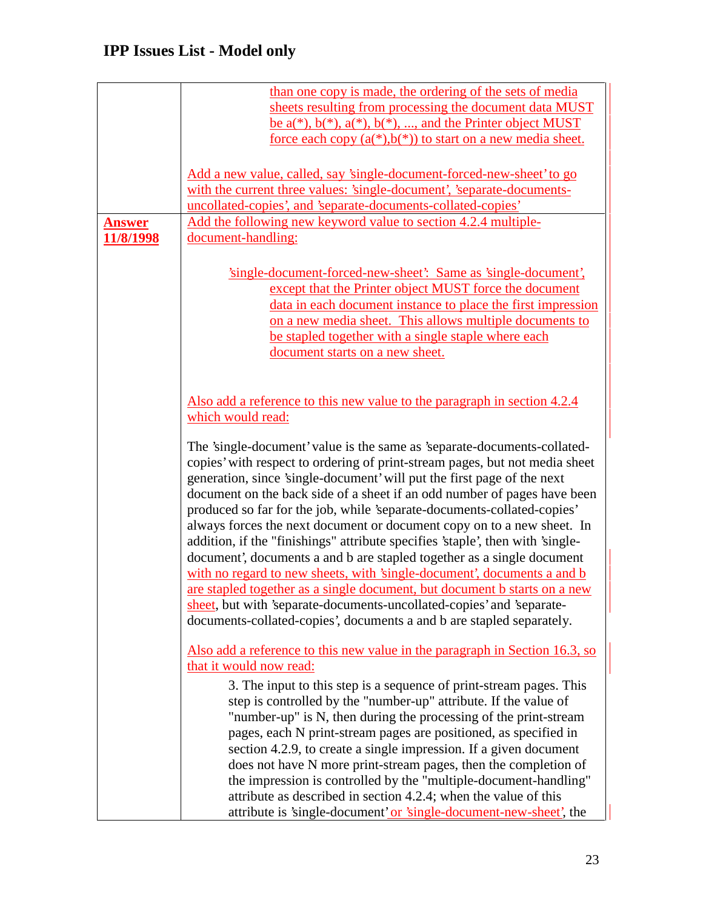|               | than one copy is made, the ordering of the sets of media                       |
|---------------|--------------------------------------------------------------------------------|
|               | sheets resulting from processing the document data MUST                        |
|               | be $a(*)$ , $b(*)$ , $a(*)$ , $b(*)$ , , and the Printer object MUST           |
|               | force each copy $(a(*)$ , $b(*)$ ) to start on a new media sheet.              |
|               |                                                                                |
|               | Add a new value, called, say 'single-document-forced-new-sheet' to go          |
|               | with the current three values: 'single-document', 'separate-documents-         |
|               | uncollated-copies', and 'separate-documents-collated-copies'                   |
| <b>Answer</b> | Add the following new keyword value to section 4.2.4 multiple-                 |
| 11/8/1998     | document-handling:                                                             |
|               |                                                                                |
|               |                                                                                |
|               | 'single-document-forced-new-sheet': Same as 'single-document',                 |
|               | except that the Printer object MUST force the document                         |
|               | data in each document instance to place the first impression                   |
|               | on a new media sheet. This allows multiple documents to                        |
|               | be stapled together with a single staple where each                            |
|               | document starts on a new sheet.                                                |
|               |                                                                                |
|               |                                                                                |
|               | Also add a reference to this new value to the paragraph in section 4.2.4       |
|               | which would read:                                                              |
|               |                                                                                |
|               | The 'single-document' value is the same as 'separate-documents-collated-       |
|               | copies' with respect to ordering of print-stream pages, but not media sheet    |
|               | generation, since 'single-document' will put the first page of the next        |
|               | document on the back side of a sheet if an odd number of pages have been       |
|               | produced so far for the job, while 'separate-documents-collated-copies'        |
|               | always forces the next document or document copy on to a new sheet. In         |
|               | addition, if the "finishings" attribute specifies 'staple', then with 'single- |
|               | document', documents a and b are stapled together as a single document         |
|               | with no regard to new sheets, with 'single-document', documents a and b        |
|               | are stapled together as a single document, but document b starts on a new      |
|               | sheet, but with 'separate-documents-uncollated-copies' and 'separate-          |
|               | documents-collated-copies', documents a and b are stapled separately.          |
|               |                                                                                |
|               | Also add a reference to this new value in the paragraph in Section 16.3, so    |
|               | that it would now read:                                                        |
|               | 3. The input to this step is a sequence of print-stream pages. This            |
|               | step is controlled by the "number-up" attribute. If the value of               |
|               | "number-up" is N, then during the processing of the print-stream               |
|               | pages, each N print-stream pages are positioned, as specified in               |
|               | section 4.2.9, to create a single impression. If a given document              |
|               | does not have N more print-stream pages, then the completion of                |
|               | the impression is controlled by the "multiple-document-handling"               |
|               | attribute as described in section 4.2.4; when the value of this                |
|               | attribute is 'single-document' or 'single-document-new-sheet', the             |
|               |                                                                                |